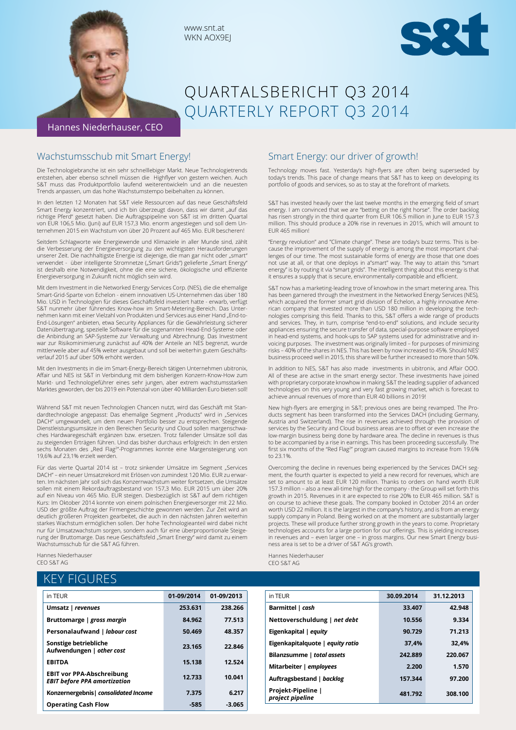

www.snt.at WKN AOX9EJ



# QUARTALSBERICHT Q3 2014 QUARTERLY REPORT Q3 2014

### Wachstumsschub mit Smart Energy!

Die Technologiebranche ist ein sehr schnelllebiger Markt. Neue Technologietrends entstehen, aber ebenso schnell müssen die Highflyer von gestern weichen. Auch S&T muss das Produktportfolio laufend weiterentwickeln und an die neuesten Trends anpassen, um das hohe Wachstumstempo beibehalten zu können.

In den letzten 12 Monaten hat S&T viele Ressourcen auf das neue Geschäftsfeld Smart Energy konzentriert, und ich bin überzeugt davon, dass wir damit "auf das richtige Pferd" gesetzt haben. Die Auftragspipeline von S&T ist im dritten Quartal von EUR 106,5 Mio. (Juni) auf EUR 157,3 Mio. enorm angestiegen und soll dem Unternehmen 2015 ein Wachstum von über 20 Prozent auf 465 Mio. EUR bescheren!

Seitdem Schlagworte wie Energiewende und Klimaziele in aller Munde sind, zählt die Verbesserung der Energieversorgung zu den wichtigsten Herausforderungen unserer Zeit. Die nachhaltigste Energie ist diejenige, die man gar nicht oder "smart" verwendet - über intelligente Stromnetze ("Smart Grids") gelieferte "Smart Energy ist deshalb eine Notwendigkeit, ohne die eine sichere, ökologische und effiziente Energieversorgung in Zukunft nicht möglich sein wird.

Mit dem Investment in die Networked Energy Services Corp. (NES), die die ehemalige Smart-Grid-Sparte von Echelon - einem innovativen US-Unternehmen das über 180 Mio. USD in Technologien für dieses Geschäftsfeld investiert hatte - erwarb, verfügt S&T nunmehr über führendes Know-how im Smart-Metering-Bereich. Das Unternehmen kann mit einer Vielzahl von Produkten und Services aus einer Hand "End-to-End-Lösungen" anbieten, etwa Security Appliances für die Gewährleistung sicherer Datenübertragung, spezielle Software für die sogenannten Head-End-Systeme oder die Anbindung an SAP-Systeme zur Verwaltung und Abrechnung. Das Investment war zur Risikominimierung zunächst auf 40% der Anteile an NES begrenzt, wurde mittlerweile aber auf 45% weiter ausgebaut und soll bei weiterhin gutem Geschäftsverlauf 2015 auf über 50% erhöht werden.

Mit den Investments in die im Smart-Energy-Bereich tätigen Unternehmen ubitronix, Affair und NES ist S&T in Verbindung mit dem bisherigen Konzern-Know-How zum Markt- und Technologieführer eines sehr jungen, aber extrem wachstumsstarken Marktes geworden, der bis 2019 ein Potenzial von über 40 Milliarden Euro bieten soll!

Während S&T mit neuen Technologien Chancen nutzt, wird das Geschäft mit Standardtechnologie angepasst: Das ehemalige Segment "Products" wird in "Services DACH" umgewandelt, um dem neuen Portfolio besser zu entsprechen. Steigende Dienstleistungsumsätze in den Bereichen Security und Cloud sollen margenschwaches Hardwaregeschäft ergänzen bzw. ersetzen. Trotz fallender Umsätze soll das zu steigenden Erträgen führen. Und das bisher durchaus erfolgreich: In den ersten sechs Monaten des "Red Flag<sup>2</sup>"-Programmes konnte eine Margensteigerung von 19,6% auf 23,1% erzielt werden.

Für das vierte Quartal 2014 ist - trotz sinkender Umsätze im Segment "Services DACH" – ein neuer Umsatzrekord mit Erlösen von zumindest 120 Mio. EUR zu erwarten. Im nächsten Jahr soll sich das Konzernwachstum weiter fortsetzen, die Umsätze sollen mit einem Rekordauftragsbestand von 157,3 Mio. EUR 2015 um über 20% auf ein Niveau von 465 Mio. EUR steigen. Diesbezüglich ist S&T auf dem richtigen Kurs: Im Oktober 2014 konnte von einem polnischen Energieversorger mit 22 Mio. USD der größte Auftrag der Firmengeschichte gewonnen werden. Zur Zeit wird an deutlich größeren Projekten gearbeitet, die auch in den nächsten Jahren weiterhin starkes Wachstum ermöglichen sollen. Der hohe Technologieanteil wird dabei nicht nur für Umsatzwachstum sorgen, sondern auch für eine überproportionale Steigerung der Bruttomarge. Das neue Geschäftsfeld "Smart Energy" wird damit zu einem Wachstumsschub für die S&T AG führen.

Hannes Niederhauser CEO S&T AG

### KEY FIGURES

| in TEUR                                                                 | 01-09/2014 | 01-09/2013 |
|-------------------------------------------------------------------------|------------|------------|
| Umsatz   revenues                                                       | 253.631    | 238.266    |
| Bruttomarge   gross margin                                              | 84.962     | 77.513     |
| Personalaufwand   labour cost                                           | 50.469     | 48.357     |
| Sonstige betriebliche<br>Aufwendungen   other cost                      | 23.165     | 22.846     |
| <b>EBITDA</b>                                                           | 15.138     | 12.524     |
| <b>EBIT vor PPA-Abschreibung</b><br><b>EBIT before PPA amortization</b> | 12.733     | 10.041     |
| Konzernergebnis   consolidated Income                                   | 7.375      | 6.217      |
| <b>Operating Cash Flow</b>                                              | -585       | -3.065     |

### Smart Energy: our driver of growth!

Technology moves fast. Yesterday's high-flyers are often being superseded by today's trends. This pace of change means that S&T has to keep on developing its portfolio of goods and services, so as to stay at the forefront of markets.

S&T has invested heavily over the last twelve months in the emerging field of smart energy. I am convinced that we are "betting on the right horse". The order backlog has risen strongly in the third quarter from EUR 106.5 million in June to EUR 157.3 million. This should produce a 20% rise in revenues in 2015, which will amount to EUR 465 million!

"Energy revolution" and "Climate change". These are today's buzz terms. This is because the improvement of the supply of energy is among the most important challenges of our time. The most sustainable forms of energy are those that one does not use at all, or that one deploys in a"smart" way. The way to attain this "smart energy" is by routing it via "smart grids". The intelligent thing about this energy is that it ensures a supply that is secure, environmentally-compatible and efficient.

S&T now has a marketing-leading trove of knowhow in the smart metering area. This has been garnered through the investment in the Networked Energy Services (NES), which acquired the former smart grid division of Echelon, a highly innovative American company that invested more than USD 180 million in developing the technologies comprising this field. Thanks to this, S&T offers a wide range of products and services. They, in turn, comprise "end-to-end" solutions, and include security appliances ensuring the secure transfer of data, special-purpose software employed in head-end systems, and hook-ups to SAP systems used for administrative and invoicing purposes. The investment was originally limited – for purposes of minimizing risks – 40% of the shares in NES. This has been by now increased to 45%. Should NES' business proceed well in 2015, this share will be further increased to more than 50%.

In addition to NES, S&T has also made investments in ubitronix, and Affair OOO. All of these are active in the smart energy sector. These investments have joined with proprietary corporate knowhow in making S&T the leading supplier of advanced technologies on this very young and very fast growing market, which is forecast to achieve annual revenues of more than EUR 40 billions in 2019!

New high-flyers are emerging in S&T; previous ones are being revamped. The Products segment has been transformed into the Services DACH (including Germany, Austria and Switzerland). The rise in revenues achieved through the provision of services by the Security and Cloud business areas are to offset or even increase the low-margin business being done by hardware area. The decline in revenues is thus to be accompanied by a rise in earnings. This has been proceeding successfully. The first six months of the "Red Flag<sup>2</sup>" program caused margins to increase from 19.6% to 23.1%.

Overcoming the decline in revenues being experienced by the Services DACH segment, the fourth quarter is expected to yield a new record for revenues, which are set to amount to at least EUR 120 million. Thanks to orders on hand worth EUR 157.3 million – also a new all-time high for the company - the Group will set forth this growth in 2015. Revenues in it are expected to rise 20% to EUR 465 million. S&T is on course to achieve these goals. The company booked in October 2014 an order worth USD 22 million. It is the largest in the company's history, and is from an energy supply company in Poland. Being worked on at the moment are substantially larger projects. These will produce further strong growth in the years to come. Proprietary technologies accounts for a large portion for our offerings. This is yielding increases in revenues and – even larger one – in gross margins. Our new Smart Energy business area is set to be a driver of S&T AG's growth.

Hannes Niederhauser CEO S&T AG

| in TEUR                                | 30.09.2014 | 31.12.2013 |
|----------------------------------------|------------|------------|
| Barmittel   cash                       | 33.407     | 42.948     |
| Nettoverschuldung   net debt           | 10.556     | 9.334      |
| Eigenkapital   equity                  | 90.729     | 71.213     |
| Eigenkapitalquote   equity ratio       | 37.4%      | 32.4%      |
| Bilanzsumme   total assets             | 242.889    | 220.067    |
| Mitarbeiter   employees                | 2.200      | 1.570      |
| Auftragsbestand   backlog              | 157.344    | 97.200     |
| Projekt-Pipeline  <br>project pipeline | 481.792    | 308.100    |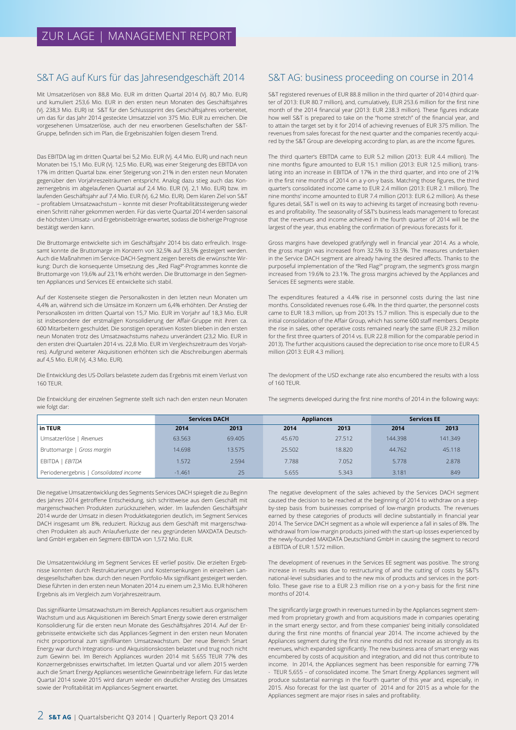### S&T AG auf Kurs für das Jahresendgeschäft 2014

Mit Umsatzerlösen von 88,8 Mio. EUR im dritten Quartal 2014 (Vj. 80,7 Mio. EUR) und kumuliert 253,6 Mio. EUR in den ersten neun Monaten des Geschäftsjahres (Vj. 238,3 Mio. EUR) ist S&T für den Schlusssprint des Geschäftsjahres vorbereitet, um das für das Jahr 2014 gesteckte Umsatzziel von 375 Mio. EUR zu erreichen. Die vorgesehenen Umsatzerlöse, auch der neu erworbenen Gesellschaften der S&T-Gruppe, befinden sich im Plan, die Ergebniszahlen folgen diesem Trend.

Das EBITDA lag im dritten Quartal bei 5,2 Mio. EUR (Vj. 4,4 Mio. EUR) und nach neun Monaten bei 15,1 Mio. EUR (Vj. 12,5 Mio. EUR), was einer Steigerung des EBITDA von 17% im dritten Quartal bzw. einer Steigerung von 21% in den ersten neun Monaten gegenüber den Vorjahreszeiträumen entspricht. Analog dazu stieg auch das Konzernergebnis im abgelaufenen Quartal auf 2,4 Mio. EUR (Vj. 2,1 Mio. EUR) bzw. im laufenden Geschäftsjahr auf 7,4 Mio. EUR (Vj. 6,2 Mio. EUR). Dem klaren Ziel von S&T – profitablem Umsatzwachstum – konnte mit dieser Profitabilitätssteigerung wieder einen Schritt näher gekommen werden. Für das vierte Quartal 2014 werden saisonal die höchsten Umsatz- und Ergebnisbeiträge erwartet, sodass die bisherige Prognose bestätigt werden kann.

Die Bruttomarge entwickelte sich im Geschäftsjahr 2014 bis dato erfreulich. Insgesamt konnte die Bruttomarge im Konzern von 32,5% auf 33,5% gesteigert werden. Auch die Maßnahmen im Service-DACH-Segment zeigen bereits die erwünschte Wirkung: Durch die konsequente Umsetzung des "Red Flag<sup>2</sup>"-Programmes konnte die Bruttomarge von 19,6% auf 23,1% erhöht werden. Die Bruttomarge in den Segmenten Appliances und Services EE entwickelte sich stabil.

Auf der Kostenseite stiegen die Personalkosten in den letzten neun Monaten um 4,4% an, während sich die Umsätze im Konzern um 6,4% erhöhten. Der Anstieg der Personalkosten im dritten Quartal von 15,7 Mio. EUR im Vorjahr auf 18,3 Mio. EUR ist insbesondere der erstmaligen Konsolidierung der Affair-Gruppe mit ihren ca. 600 Mitarbeitern geschuldet. Die sonstigen operativen Kosten blieben in den ersten neun Monaten trotz des Umsatzwachstums nahezu unverändert (23,2 Mio. EUR in den ersten drei Quartalen 2014 vs. 22,8 Mio. EUR im Vergleichszeitraum des Vorjahres). Aufgrund weiterer Akquisitionen erhöhten sich die Abschreibungen abermals auf 4,5 Mio. EUR (Vj. 4,3 Mio. EUR).

Die Entwicklung des US-Dollars belastete zudem das Ergebnis mit einem Verlust von 160 TEUR.

Die Entwicklung der einzelnen Segmente stellt sich nach den ersten neun Monaten wie folgt dar:

### S&T AG: business proceeding on course in 2014

S&T registered revenues of EUR 88.8 million in the third quarter of 2014 (third quarter of 2013: EUR 80.7 million), and, cumulatively, EUR 253.6 million for the first nine month of the 2014 financial year (2013: EUR 238.3 million). These figures indicate how well S&T is prepared to take on the "home stretch" of the financial year, and to attain the target set by it for 2014 of achieving revenues of EUR 375 million. The revenues from sales forecast for the next quarter and the companies recently acquired by the S&T Group are developing according to plan, as are the income figures.

The third quarter's EBITDA came to EUR 5.2 million (2013: EUR 4.4 million). The nine months figure amounted to EUR 15.1 million (2013: EUR 12.5 million), translating into an increase in EBITDA of 17% in the third quarter, and into one of 21% in the first nine months of 2014 on a y-on-y basis. Matching those figures, the third quarter's consolidated income came to EUR 2.4 million (2013: EUR 2.1 million). The nine months' income amounted to EUR 7.4 million (2013: EUR 6.2 million). As these figures detail, S&T is well on its way to achieving its target of increasing both revenues and profitability. The seasonality of S&T's business leads management to forecast that the revenues and income achieved in the fourth quarter of 2014 will be the largest of the year, thus enabling the confirmation of previous forecasts for it.

Gross margins have developed gratifyingly well in financial year 2014. As a whole, the gross margin was increased from 32.5% to 33.5%. The measures undertaken in the Service DACH segment are already having the desired affects. Thanks to the purposeful implementation of the "Red Flag<sup>2</sup>" program, the segment's gross margin increased from 19.6% to 23.1%. The gross margins achieved by the Appliances and Services EE segments were stable.

The expenditures featured a 4.4% rise in personnel costs during the last nine months. Consolidated revenues rose 6.4%. In the third quarter, the personnel costs came to EUR 18.3 million, up from 2013's 15.7 million. This is especially due to the initial consolidation of the Affair Group, which has some 600 staff members. Despite the rise in sales, other operative costs remained nearly the same (EUR 23.2 million for the first three quarters of 2014 vs. EUR 22.8 million for the comparable period in 2013). The further acquisitions caused the depreciation to rise once more to EUR 4.5 million (2013: EUR 4.3 million).

The devlopment of the USD exchange rate also encumbered the results with a loss of 160 TEUR.

The segments developed during the first nine months of 2014 in the following ways:

|                                        | <b>Services DACH</b> |        | <b>Appliances</b> |        |         | <b>Services EE</b> |
|----------------------------------------|----------------------|--------|-------------------|--------|---------|--------------------|
| in TEUR                                | 2014                 | 2013   | 2014              | 2013   | 2014    | 2013               |
| Umsatzerlöse   Revenues                | 63.563               | 69.405 | 45.670            | 27.512 | 144.398 | 141.349            |
| Bruttomarge   Gross margin             | 14.698               | 13.575 | 25.502            | 18,820 | 44.762  | 45.118             |
| EBITDA<br>EBITDA                       | 1.572                | 2.594  | 7.788             | 7.052  | 5.778   | 2.878              |
| Periodenergebnis   Consolidated income | $-1.461$             | 25     | 5.655             | 5.343  | 3.181   | 849                |

Die negative Umsatzentwicklung des Segments Services DACH spiegelt die zu Beginn des Jahres 2014 getroffene Entscheidung, sich schrittweise aus dem Geschäft mit margenschwachen Produkten zurückzuziehen, wider. Im laufenden Geschäftsjahr 2014 wurde der Umsatz in diesen Produktkategorien deutlich, im Segment Services DACH insgesamt um 8%, reduziert. Rückzug aus dem Geschäft mit margenschwachen Produkten als auch Anlaufverluste der neu gegründeten MAXDATA Deutschland GmbH ergaben ein Segment-EBITDA von 1,572 Mio. EUR.

Die Umsatzentwicklung im Segment Services EE verlief positiv. Die erzielten Ergebnisse konnten durch Restrukturierungen und Kostensenkungen in einzelnen Landesgesellschaften bzw. durch den neuen Portfolio-Mix signifikant gesteigert werden. Diese führten in den ersten neun Monaten 2014 zu einem um 2,3 Mio. EUR höheren Ergebnis als im Vergleich zum Vorjahreszeitraum.

Das signifikante Umsatzwachstum im Bereich Appliances resultiert aus organischem Wachstum und aus Akquisitionen im Bereich Smart Energy sowie deren erstmaliger Konsolidierung für die ersten neun Monate des Geschäftsjahres 2014. Auf der Ergebnisseite entwickelte sich das Appliances-Segment in den ersten neun Monaten nicht proportional zum signifikanten Umsatzwachstum. Der neue Bereich Smart Energy war durch Integrations- und Akquisitionskosten belastet und trug noch nicht zum Gewinn bei. Im Bereich Appliances wurden 2014 mit 5.655 TEUR 77% des Konzernergebnisses erwirtschaftet. Im letzten Quartal und vor allem 2015 werden auch die Smart Energy Appliances wesentliche Gewinnbeiträge liefern. Für das letzte Quartal 2014 sowie 2015 wird darum wieder ein deutlicher Anstieg des Umsatzes sowie der Profitabilität im Appliances-Segment erwartet.

The negative development of the sales achieved by the Services DACH segment caused the decision to be reached at the beginning of 2014 to withdraw on a stepby-step basis from businesses comprised of low-margin products. The revenues earned by these categories of products will decline substantially in financial year 2014. The Service DACH segment as a whole will experience a fall in sales of 8%. The withdrawal from low-margin products joined with the start-up losses experienced by the newly-founded MAXDATA Deutschland GmbH in causing the segment to record a EBITDA of EUR 1.572 million.

The development of revenues in the Services EE segment was positive. The strong increase in results was due to restructuring of and the cutting of costs by S&T's national-level subsidiaries and to the new mix of products and services in the portfolio. These gave rise to a EUR 2.3 million rise on a y-on-y basis for the first nine months of 2014.

The significantly large growth in revenues turned in by the Appliances segment stemmed from proprietary growth and from acquisitions made in companies operating in the smart energy sector, and from these companies' being initially consolidated during the first nine months of financial year 2014. The income achieved by the Appliances segment during the first nine months did not increase as strongly as its revenues, which expanded significantly. The new business area of smart energy was encumbered by costs of acquisition and integration, and did not thus contribute to income. In 2014, the Appliances segment has been responsible for earning 77% - TEUR 5,655 – of consolidated income. The Smart Energy Appliances segment will produce substantial earnings in the fourth quarter of this year and, especially, in 2015. Also forecast for the last quarter of 2014 and for 2015 as a whole for the Appliances segment are major rises in sales and profitability.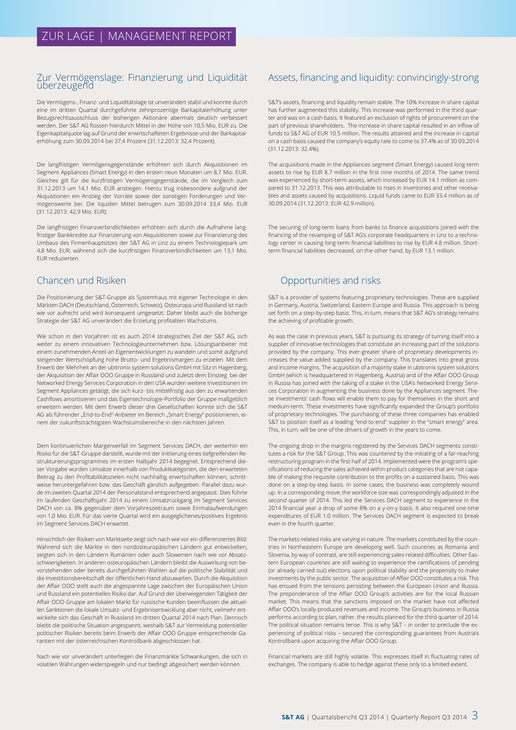### Zur Vermögenslage: Finanzierung und Liquidität überzeugend

Die Vermögens-, Finanz- und Liquiditätslage ist unverändert stabil und konnte durch eine im dritten Quartal durchgeführte zehnprozentige Barkapitalerhöhung unter Bezugsrechtsausschluss der bisherigen Aktionäre abermals deutlich verbessert werden. Der S&T AG flossen hierdurch Mittel in der Höhe von 10,5 Mio. EUR zu. Die Eigenkapitalquote lag auf Grund der erwirtschafteten Ergebnisse und der Barkapitalerhöhung zum 30.09.2014 bei 37,4 Prozent (31.12.2013: 32,4 Prozent).

Die langfristigen Vermögensgegenstände erhöhten sich durch Akquisitionen im Segment Appliances (Smart Energy) in den ersten neun Monaten um 8,7 Mio. EUR. Gleiches gilt für die kurzfristigen Vermögensgegenstände, die im Vergleich zum 31.12.2013 um 14,1 Mio. EUR anstiegen. Hierzu trug insbesondere aufgrund der Akquistionen ein Anstieg der Vorräte sowie der sonstigen Forderungen und Vermögenswerte bei. Die liquiden Mittel betrugen zum 30.09.2014 33,4 Mio. EUR (31.12.2013: 42,9 Mio. EUR).

Die langfristigen Finanzverbindlichkeiten erhöhten sich durch die Aufnahme langfristiger Bankkredite zur Finanzierung von Akquisitionen sowie zur Finanzierung des Umbaus des Firmenhauptsitzes der S&T AG in Linz zu einem Technologiepark um 4,8 Mio. EUR, während sich die kurzfristigen Finanzverbindlichkeiten um 13,1 Mio. EUR reduzierten.

### Chancen und Risiken

Die Positionierung der S&T-Gruppe als Systemhaus mit eigener Technologie in den Märkten DACH (Deutschland, Österreich, Schweiz), Osteuropa und Russland ist nach wie vor aufrecht und wird konsequent umgesetzt. Daher bleibt auch die bisherige Strategie der S&T AG unverändert die Erzielung profitablen Wachstums.

Wie schon in den Vorjahren ist es auch 2014 strategisches Ziel der S&T AG, sich weiter zu einem innovativen Technologieunternehmen bzw. Lösungsanbieter mit einem zunehmenden Anteil an Eigenentwicklungen zu wandeln und somit aufgrund steigender Wertschöpfung hohe Brutto- und Ergebnismargen zu erzielen. Mit dem Erwerb der Mehrheit an der ubitronix system solutions GmbH mit Sitz in Hagenberg, der Akquisition der Affair OOO Gruppe in Russland und zuletzt dem Einstieg bei der Networked Energy Services Corporation in den USA wurden weitere Investitionen im Segment Appliances getätigt, die sich kurz- bis mittelfristig aus den zu erwartenden Cashflows amortisieren und das Eigentechnologie-Portfolio der Gruppe maßgeblich erweitern werden. Mit dem Erwerb dieser drei Gesellschaften konnte sich die S&T AG als führender "End-to-End"-Anbieter im Bereich "Smart Energy" positionieren, einem der zukunftsträchtigsten Wachstumsbereiche in den nächsten Jahren.

Dem kontinuierlichen Margenverfall im Segment Services DACH, der weiterhin ein Risiko für die S&T-Gruppe darstellt, wurde mit der Initiierung eines tiefgreifenden Restrukturierungsprogrammes im ersten Halbjahr 2014 begegnet. Entsprechend dieser Vorgabe wurden Umsätze innerhalb von Produktkategorien, die den erwarteten Beitrag zu den Profitabilitätszielen nicht nachhaltig erwirtschaften können, schrittweise heruntergefahren bzw. das Geschäft gänzlich aufgegeben. Parallel dazu wurde im zweiten Quartal 2014 der Personalstand entsprechend angepasst. Dies führte im laufenden Geschäftsjahr 2014 zu einem Umsatzrückgang im Segment Services DACH von ca. 8% gegenüber dem Vorjahreszeitraum sowie Einmalaufwendungen von 1,0 Mio. EUR. Für das vierte Quartal wird ein ausgeglichenes/positives Ergebnis im Segment Services DACH erwartet.

Hinsichtlich der Risiken von Marktseite zeigt sich nach wie vor ein differenziertes Bild: Während sich die Märkte in den nordosteuropäischen Ländern gut entwickelten, zeigten sich in den Ländern Rumänien oder auch Slowenien nach wie vor Absatzschwierigkeiten. In anderen osteuropäischen Ländern bleibt die Auswirkung von bevorstehenden oder bereits durchgeführten Wahlen auf die politische Stabilität und die Investitionsbereitschaft der öffentlichen Hand abzuwarten. Durch die Akquisition der Affair OOO stellt auch die angespannte Lage zwischen der Europäischen Union und Russland ein potentielles Risiko dar. Auf Grund der überwiegenden Tätigkeit der Affair OOO Gruppe am lokalen Markt für russische Kunden beeinflussen die aktuellen Sanktionen die lokale Umsatz- und Ergebnisentwicklung aber nicht, vielmehr entwickelte sich das Geschäft in Russland im dritten Quartal 2014 nach Plan. Dennoch bleibt die politische Situation angespannt, weshalb S&T zur Vermeidung potentieller politischer Risiken bereits beim Erwerb der Affair OOO Gruppe entsprechende Garantien mit der österreichischen Kontrollbank abgeschlossen hat.

Nach wie vor unverändert unterliegen die Finanzmärkte Schwankungen, die sich in volatilen Währungen widerspiegeln und nur bedingt abgesichert werden können.

### Assets, financing and liquidity: convincingly-strong

S&T's assets, financing and liquidity remain stable. The 10% increase in share capital has further augmented this stability. This increase was performed in the third quarter and was on a cash basis. It featured an exclusion of rights of procurement on the part of previous shareholders. The increase in share capital resulted in an inflow of funds to S&T AG of EUR 10.5 million. The results attained and the increase in capital on a cash basis caused the company's equity rate to come to 37.4% as of 30.09.2014 (31.12.2013: 32.4%).

The acquisitions made in the Appliances segment (Smart Energy) caused long-term assets to rise by EUR 8.7 million in the first nine months of 2014. The same trend was experienced by short-term assets, which increased by EUR 14.1 million as compared to 31.12.2013. This was attributable to rises in inventories and other receivables and assets caused by acquisitions. Liquid funds came to EUR 33.4 million as of 30.09.2014 (31.12.2013: EUR 42.9 million).

The securing of long-term loans from banks to finance acquisitions joined with the financing of the revamping of S&T AG's corporate headquarters in Linz to a technology center in causing long-term financial liabilities to rise by EUR 4.8 million. Shortterm financial liabilities decreased, on the other hand, by EUR 13.1 million.

### Opportunities and risks

S&T is a provider of systems featuring proprietary technologies. These are supplied in Germany, Austria, Switzerland, Eastern Europe and Russia. This approach is being set forth on a step-by-step basis. This, in turn, means that S&T AG's strategy remains the achieving of profitable growth.

As was the case in previous years, S&T is pursuing its strategy of turning itself into a supplier of innovative technologies that constitute an increasing part of the solutions provided by the company. This ever-greater share of proprietary developments increases the value added supplied by the company. This translates into great gross and income margins. The acquisition of a majority stake in ubitronix system solutions GmbH (which is headquartered in Hagenberg, Austria) and of the Affair OOO Group in Russia has joined with the taking of a stake in the USA's Networked Energy Services Corporation in augmenting the business done by the Appliances segment. These investments' cash flows will enable them to pay for themselves in the short and medium-term. These investments have significantly expanded the Group's portfolio of proprietary technologies. The purchasing of these three companies has enabled S&T to position itself as a leading "end-to-end" supplier in the "smart energy" area. This, in turn, will be one of the drivers of growth in the years to come.

The ongoing drop in the margins registered by the Services DACH segments constitutes a risk for the S&T Group. This was countered by the initiating of a far-reaching restructuring program in the first half of 2014. Implemented were the program's specifications of reducing the sales achieved within product categories that are not capable of making the requisite contribution to the profits on a sustained basis. This was done on a step-by-step basis. In some cases, the business was completely wound up. In a corresponding move, the workforce size was correspondingly adjusted in the second quarter of 2014. This led the Services DACH segment to experience in the 2014 financial year a drop of some 8% on a y-on-y basis. It also required one-time expenditures of EUR 1.0 million. The Services DACH segment is expected to break even in the fourth quarter.

The markets-related risks are varying in nature. The markets constituted by the countries in Northeastern Europe are developing well. Such countries as Romania and Slovenia, by way of contrast, are still experiencing sales-related difficulties. Other Eastern European countries are still waiting to experience the ramifications of pending (or already carried out) elections upon political stability and the propensity to make investments by the public sector. The acquisition of Affair OOO constitutes a risk. This has ensued from the tensions persisting between the European Union and Russia. The preponderance of the Affair OOO Group's activities are for the local Russian market. This means that the sanctions imposed on the market have not affected Affair OOO's locally-produced revenues and income. The Group's business in Russia performs according to plan, rather, the results planned for the third quarter of 2014. The political situation remains tense. This is why S&T – in order to preclude the experiencing of political risks – secured the corresponding guarantees from Austria's Kontrollbank upon acquiring the Affair OOO Group.

Financial markets are still highly volatile. This expresses itself in fluctuating rates of exchanges. The company is able to hedge against these only to a limited extent.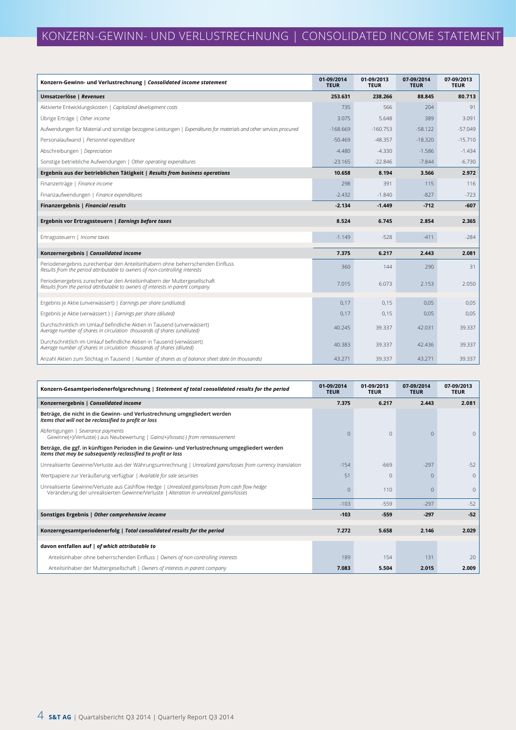| Konzern-Gewinn- und Verlustrechnung   Consolidated income statement                                                                                          | 01-09/2014<br><b>TEUR</b> | 01-09/2013<br><b>TEUR</b> | 07-09/2014<br><b>TEUR</b> | 07-09/2013<br><b>TEUR</b> |
|--------------------------------------------------------------------------------------------------------------------------------------------------------------|---------------------------|---------------------------|---------------------------|---------------------------|
| Umsatzerlöse   Revenues                                                                                                                                      | 253.631                   | 238.266                   | 88.845                    | 80.713                    |
| Aktivierte Entwicklungskosten   Capitalized development costs                                                                                                | 735                       | 566                       | 204                       | 91                        |
| Übrige Erträge   Other income                                                                                                                                | 3.075                     | 5.648                     | 389                       | 3.091                     |
| Aufwendungen für Material und sonstige bezogene Leistungen   Expenditures for materials and other services procured                                          | $-168.669$                | $-160.753$                | $-58.122$                 | $-57.049$                 |
| Personalaufwand   Personnel expenditure                                                                                                                      | $-50.469$                 | $-48.357$                 | $-18.320$                 | $-15.710$                 |
| Abschreibungen   Depreciation                                                                                                                                | $-4.480$                  | $-4.330$                  | $-1.586$                  | $-1.434$                  |
| Sonstige betriebliche Aufwendungen   Other operating expenditures                                                                                            | $-23.165$                 | $-22.846$                 | $-7.844$                  | $-6.730$                  |
| Ergebnis aus der betrieblichen Tätigkeit   Results from business operations                                                                                  | 10.658                    | 8.194                     | 3.566                     | 2.972                     |
| Finanzerträge   Finance income                                                                                                                               | 298                       | 391                       | 115                       | 116                       |
| Finanzaufwendungen   Finance expenditures                                                                                                                    | $-2.432$                  | $-1.840$                  | $-827$                    | $-723$                    |
| Finanzergebnis   Financial results                                                                                                                           | $-2.134$                  | $-1.449$                  | $-712$                    | $-607$                    |
| Ergebnis vor Ertragssteuern   Earnings before taxes                                                                                                          | 8.524                     | 6.745                     | 2.854                     | 2.365                     |
| Ertragssteuern   Income taxes                                                                                                                                | $-1.149$                  | $-528$                    | $-411$                    | $-284$                    |
| Konzernergebnis   Consolidated income                                                                                                                        | 7.375                     | 6.217                     | 2.443                     | 2.081                     |
| Periodenergebnis zurechenbar den Anteilsinhabern ohne beherrschenden Einfluss<br>Results from the period attributable to owners of non-controlling interests | 360                       | 144                       | 290                       | 31                        |
| Periodenergebnis zurechenbar den Anteilsinhabern der Muttergesellschaft<br>Results from the period attributable to owners of interests in parent company     | 7.015                     | 6.073                     | 2.153                     | 2.050                     |
| Ergebnis je Aktie (unverwässert)   Earnings per share (undiluted)                                                                                            | 0,17                      | 0,15                      | 0,05                      | 0,05                      |
| Ergebnis je Aktie (verwässert)   Earnings per share (diluted)                                                                                                | 0.17                      | 0,15                      | 0,05                      | 0,05                      |
| Durchschnittlich im Umlauf befindliche Aktien in Tausend (unverwässert)<br>Average number of shares in circulation thousands of shares (undiluted)           | 40.245                    | 39.337                    | 42.031                    | 39.337                    |
| Durchschnittlich im Umlauf befindliche Aktien in Tausend (verwässert)<br>Average number of shares in circulation thousands of shares (diluted)               | 40.383                    | 39.337                    | 42.436                    | 39.337                    |
| Anzahl Aktien zum Stichtag in Tausend   Number of shares as of balance sheet date (in thousands)                                                             | 43.271                    | 39.337                    | 43.271                    | 39.337                    |

| Konzern-Gesamtperiodenerfolgsrechnung   Statement of total consolidated results for the period                                                                                              |          | 01-09/2013<br><b>TEUR</b> | 07-09/2014<br><b>TEUR</b> | 07-09/2013<br><b>TEUR</b> |
|---------------------------------------------------------------------------------------------------------------------------------------------------------------------------------------------|----------|---------------------------|---------------------------|---------------------------|
| Konzernergebnis   Consolidated income                                                                                                                                                       | 7.375    | 6.217                     | 2.443                     | 2.081                     |
| Beträge, die nicht in die Gewinn- und Verlustrechnung umgegliedert werden<br>Items that will not be reclassified to profit or loss                                                          |          |                           |                           |                           |
| Abfertigungen   Severance payments<br>Gewinne(+)/Verluste(-) aus Neubewertung   Gains(+)/losses(-) from remeasurement                                                                       | $\Omega$ | $\Omega$                  | $\Omega$                  | 0                         |
| Beträge, die ggf. in künftigen Perioden in die Gewinn- und Verlustrechnung umgegliedert werden<br>Items that may be subsequently reclassified to profit or loss                             |          |                           |                           |                           |
| Unrealisierte Gewinne/Verluste aus der Währungsumrechnung   Unrealized gains/losses from currency translation                                                                               | $-154$   | $-669$                    | $-297$                    | $-52$                     |
| Wertpapiere zur Veräußerung verfügbar   Available for sale securities                                                                                                                       | 51       | $\Omega$                  | $\Omega$                  | $\Omega$                  |
| Unrealisierte Gewinne/Verluste aus Cashflow Hedge   Unrealized gains/losses from cash flow hedge<br>Veränderung der unrealisierten Gewinne/Verluste   Alteration in unrealized gains/losses | $\Omega$ | 110                       | $\Omega$                  | $\Omega$                  |
|                                                                                                                                                                                             | $-103$   | $-559$                    | $-297$                    | $-52$                     |
| Sonstiges Ergebnis   Other comprehensive income                                                                                                                                             | $-103$   | $-559$                    | $-297$                    | $-52$                     |
| Konzerngesamtperiodenerfolg   Total consolidated results for the period                                                                                                                     | 7.272    | 5.658                     | 2.146                     | 2.029                     |
| davon entfallen auf   of which attributable to                                                                                                                                              |          |                           |                           |                           |
| Anteilsinhaber ohne beherrschenden Einfluss   Owners of non-controlling interests                                                                                                           | 189      | 154                       | 131                       | 20                        |
| Anteilsinhaber der Muttergesellschaft   Owners of interests in parent company                                                                                                               | 7.083    | 5.504                     | 2.015                     | 2.009                     |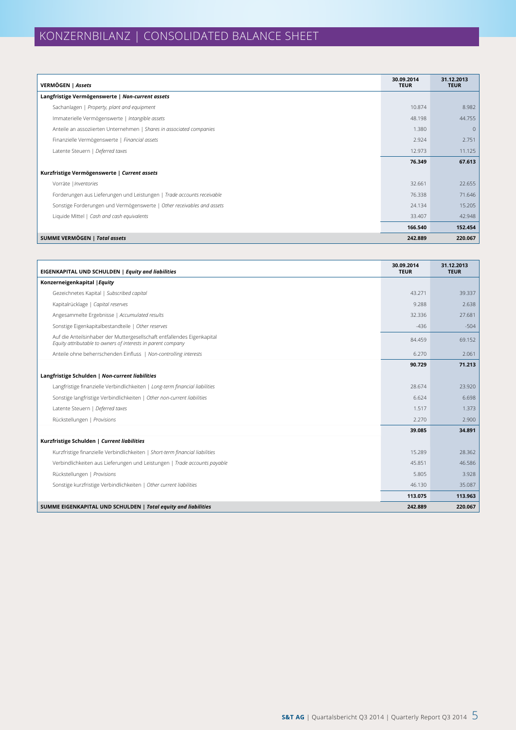| VERMÖGEN   Assets                                                      | 30.09.2014<br><b>TEUR</b> | 31.12.2013<br><b>TEUR</b> |
|------------------------------------------------------------------------|---------------------------|---------------------------|
| Langfristige Vermögenswerte   Non-current assets                       |                           |                           |
| Sachanlagen   Property, plant and equipment                            | 10.874                    | 8.982                     |
| Immaterielle Vermögenswerte   Intangible assets                        | 48.198                    | 44.755                    |
| Anteile an assoziierten Unternehmen   Shares in associated companies   | 1.380                     | $\mathbf{0}$              |
| Finanzielle Vermögenswerte   Financial assets                          | 2.924                     | 2.751                     |
| Latente Steuern   Deferred taxes                                       | 12.973                    | 11.125                    |
|                                                                        | 76.349                    | 67.613                    |
| Kurzfristige Vermögenswerte   Current assets                           |                           |                           |
| Vorräte   Inventories                                                  | 32.661                    | 22.655                    |
| Forderungen aus Lieferungen und Leistungen   Trade accounts receivable | 76.338                    | 71.646                    |
| Sonstige Forderungen und Vermögenswerte   Other receivables and assets | 24.134                    | 15.205                    |
| Liquide Mittel   Cash and cash equivalents                             | 33.407                    | 42.948                    |
|                                                                        | 166.540                   | 152.454                   |
| SUMME VERMÖGEN   Total assets                                          | 242.889                   | 220.067                   |

| EIGENKAPITAL UND SCHULDEN   Equity and liabilities                                                                                      | 30.09.2014<br><b>TEUR</b> | 31.12.2013<br><b>TEUR</b> |
|-----------------------------------------------------------------------------------------------------------------------------------------|---------------------------|---------------------------|
| Konzerneigenkapital   Equity                                                                                                            |                           |                           |
| Gezeichnetes Kapital   Subscribed capital                                                                                               | 43.271                    | 39.337                    |
| Kapitalrücklage   Capital reserves                                                                                                      | 9.288                     | 2.638                     |
| Angesammelte Ergebnisse   Accumulated results                                                                                           | 32.336                    | 27.681                    |
| Sonstige Eigenkapitalbestandteile   Other reserves                                                                                      | $-436$                    | $-504$                    |
| Auf die Anteilsinhaber der Muttergesellschaft entfallendes Eigenkapital<br>Equity attributable to owners of interests in parent company | 84.459                    | 69.152                    |
| Anteile ohne beherrschenden Einfluss   Non-controlling interests                                                                        | 6.270                     | 2.061                     |
|                                                                                                                                         | 90.729                    | 71.213                    |
| Langfristige Schulden   Non-current liabilities                                                                                         |                           |                           |
| Langfristige finanzielle Verbindlichkeiten   Long-term financial liabilities                                                            | 28.674                    | 23.920                    |
| Sonstige langfristige Verbindlichkeiten   Other non-current liabilities                                                                 | 6.624                     | 6.698                     |
| Latente Steuern   Deferred taxes                                                                                                        | 1.517                     | 1.373                     |
| Rückstellungen   Provisions                                                                                                             | 2.270                     | 2.900                     |
|                                                                                                                                         | 39.085                    | 34.891                    |
| Kurzfristige Schulden   Current liabilities                                                                                             |                           |                           |
| Kurzfristige finanzielle Verbindlichkeiten   Short-term financial liabilities                                                           | 15.289                    | 28.362                    |
| Verbindlichkeiten aus Lieferungen und Leistungen   Trade accounts payable                                                               | 45.851                    | 46.586                    |
| Rückstellungen   Provisions                                                                                                             | 5.805                     | 3.928                     |
| Sonstige kurzfristige Verbindlichkeiten   Other current liabilities                                                                     | 46.130                    | 35.087                    |
|                                                                                                                                         | 113.075                   | 113.963                   |
| SUMME EIGENKAPITAL UND SCHULDEN   Total equity and liabilities                                                                          | 242.889                   | 220.067                   |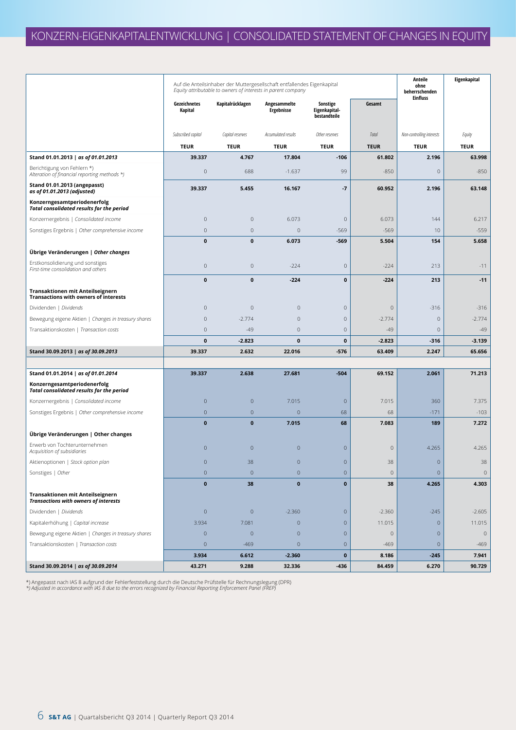|                                                                                  | Auf die Anteilsinhaber der Muttergesellschaft entfallendes Eigenkapital<br>Equity attributable to owners of interests in parent company |                  |                                   |                                           | Anteile<br>ohne<br>beherrschenden<br><b>Einfluss</b> | Eigenkapital              |             |
|----------------------------------------------------------------------------------|-----------------------------------------------------------------------------------------------------------------------------------------|------------------|-----------------------------------|-------------------------------------------|------------------------------------------------------|---------------------------|-------------|
|                                                                                  | Gezeichnetes<br>Kapital                                                                                                                 | Kapitalrücklagen | Angesammelte<br><b>Ergebnisse</b> | Sonstige<br>Eigenkapital-<br>bestandteile | Gesamt                                               |                           |             |
|                                                                                  | Subscribed capital                                                                                                                      | Capital reserves | Accumulated results               | Other reserves                            | Total                                                | Non-controlling interests | Equity      |
|                                                                                  | <b>TEUR</b>                                                                                                                             | <b>TEUR</b>      | <b>TEUR</b>                       | <b>TEUR</b>                               | <b>TEUR</b>                                          | <b>TEUR</b>               | <b>TEUR</b> |
| Stand 01.01.2013   as of 01.01.2013                                              | 39.337                                                                                                                                  | 4.767            | 17.804                            | $-106$                                    | 61.802                                               | 2.196                     | 63.998      |
| Berichtigung von Fehlern *)<br>Alteration of financial reporting methods *)      | $\mathbf 0$                                                                                                                             | 688              | $-1.637$                          | 99                                        | $-850$                                               | $\mathbf 0$               | $-850$      |
| Stand 01.01.2013 (angepasst)<br>as of 01.01.2013 (adjusted)                      | 39.337                                                                                                                                  | 5.455            | 16.167                            | $-7$                                      | 60.952                                               | 2.196                     | 63.148      |
| Konzerngesamtperiodenerfolg<br><b>Total consolidated results for the period</b>  |                                                                                                                                         |                  |                                   |                                           |                                                      |                           |             |
| Konzernergebnis   Consolidated income                                            | $\mathbf 0$                                                                                                                             | $\mathbf{0}$     | 6.073                             | $\mathbf 0$                               | 6.073                                                | 144                       | 6.217       |
| Sonstiges Ergebnis   Other comprehensive income                                  | $\mathbf 0$                                                                                                                             | $\mathbf 0$      | $\mathbf{0}$                      | $-569$                                    | $-569$                                               | 10                        | $-559$      |
|                                                                                  | $\mathbf{0}$                                                                                                                            | $\mathbf 0$      | 6.073                             | $-569$                                    | 5.504                                                | 154                       | 5.658       |
| Übrige Veränderungen   Other changes                                             |                                                                                                                                         |                  |                                   |                                           |                                                      |                           |             |
| Erstkonsolidierung und sonstiges<br>First-time consolidation and others          | $\mathbf 0$                                                                                                                             | $\mathbf{0}$     | $-224$                            | $\mathbf 0$                               | $-224$                                               | 213                       | $-11$       |
|                                                                                  | 0                                                                                                                                       | 0                | $-224$                            | $\pmb{0}$                                 | $-224$                                               | 213                       | $-11$       |
| Transaktionen mit Anteilseignern<br><b>Transactions with owners of interests</b> |                                                                                                                                         |                  |                                   |                                           |                                                      |                           |             |
| Dividenden   Dividends                                                           | $\mathbf{0}$                                                                                                                            | $\mathbf{0}$     | $\mathbf 0$                       | $\mathbf 0$                               | 0                                                    | $-316$                    | $-316$      |
| Bewegung eigene Aktien   Changes in treasury shares                              | $\mathbf{0}$                                                                                                                            | $-2.774$         | $\mathbf 0$                       | $\mathbf 0$                               | $-2.774$                                             | $\mathbf 0$               | $-2.774$    |
| Transaktionskosten   Transaction costs                                           | $\mathbf 0$                                                                                                                             | $-49$            | $\mathbf 0$                       | $\mathbf 0$                               | $-49$                                                | $\mathbf 0$               | $-49$       |
|                                                                                  | $\mathbf 0$                                                                                                                             | $-2.823$         | $\mathbf{0}$                      | 0                                         | $-2.823$                                             | $-316$                    | $-3.139$    |
| Stand 30.09.2013   as of 30.09.2013                                              | 39.337                                                                                                                                  | 2.632            | 22.016                            | $-576$                                    | 63.409                                               | 2.247                     | 65.656      |
|                                                                                  |                                                                                                                                         |                  |                                   |                                           |                                                      |                           |             |
| Stand 01.01.2014   as of 01.01.2014                                              | 39.337                                                                                                                                  | 2.638            | 27.681                            | $-504$                                    | 69.152                                               | 2.061                     | 71.213      |
| Konzerngesamtperiodenerfolg<br><b>Total consolidated results for the period</b>  |                                                                                                                                         |                  |                                   |                                           |                                                      |                           |             |
| Konzernergebnis   Consolidated income                                            | $\mathbf 0$                                                                                                                             | $\mathbf{0}$     | 7.015                             | $\mathbf{0}$                              | 7.015                                                | 360                       | 7.375       |
| Sonstiges Ergebnis   Other comprehensive income                                  | $\mathbf 0$                                                                                                                             | $\overline{0}$   | $\overline{0}$                    | 68                                        | 68                                                   | $-171$                    | $-103$      |
|                                                                                  | $\mathbf{0}$                                                                                                                            | $\mathbf{0}$     | 7.015                             | 68                                        | 7.083                                                | 189                       | 7.272       |
| Übrige Veränderungen   Other changes                                             |                                                                                                                                         |                  |                                   |                                           |                                                      |                           |             |
| Erwerb von Tochterunternehmen<br>Acquisition of subsidiaries                     | $\overline{0}$                                                                                                                          | $\mathbf{0}$     | $\mathbf{0}$                      | $\mathbf 0$                               | 0                                                    | 4.265                     | 4.265       |
| Aktienoptionen   Stock option plan                                               | $\overline{0}$                                                                                                                          | 38               | $\overline{0}$                    | $\mathsf{O}\xspace$                       | 38                                                   | $\mathbf{0}$              | 38          |
| Sonstiges   Other                                                                | $\mathbf 0$                                                                                                                             | $\mathbf{0}$     | $\mathbf{0}$                      | $\mathbf 0$                               | $\mathbf 0$                                          | $\overline{0}$            | $\mathbb O$ |
|                                                                                  | $\bf{0}$                                                                                                                                | 38               | $\mathbf 0$                       | $\mathbf{0}$                              | 38                                                   | 4.265                     | 4.303       |
| Transaktionen mit Anteilseignern<br><b>Transactions with owners of interests</b> |                                                                                                                                         |                  |                                   |                                           |                                                      |                           |             |
| Dividenden   Dividends                                                           | $\mathbf 0$                                                                                                                             | $\mathbf 0$      | $-2.360$                          | $\mathbf{0}$                              | $-2.360$                                             | $-245$                    | $-2.605$    |
| Kapitalerhöhung   Capital increase                                               | 3.934                                                                                                                                   | 7.081            | $\mathbf{0}$                      | $\mathbf 0$                               | 11.015                                               | $\overline{0}$            | 11.015      |
| Bewegung eigene Aktien   Changes in treasury shares                              | $\mathbf 0$                                                                                                                             | $\mathbf{0}$     | $\mathbf{0}$                      | $\mathbf 0$                               | $\mathbf 0$                                          | $\overline{0}$            | $\mathbb O$ |
| Transaktionskosten   Transaction costs                                           | $\mathbf{0}$                                                                                                                            | $-469$           | $\mathbf{0}$                      | $\mathbf 0$                               | $-469$                                               | $\overline{0}$            | $-469$      |
|                                                                                  | 3.934                                                                                                                                   | 6.612            | $-2.360$                          | $\bf{0}$                                  | 8.186                                                | $-245$                    | 7.941       |
| Stand 30.09.2014   as of 30.09.2014                                              | 43.271                                                                                                                                  | 9.288            | 32.336                            | $-436$                                    | 84.459                                               | 6.270                     | 90.729      |

\*) Angepasst nach IAS 8 aufgrund der Fehlerfeststellung durch die Deutsche Prüfstelle für Rechnungslegung (DPR)<br>\*) Adjusted in accordance with IAS 8 due to the errors recognized by Financial Reporting Enforcement Panel (FR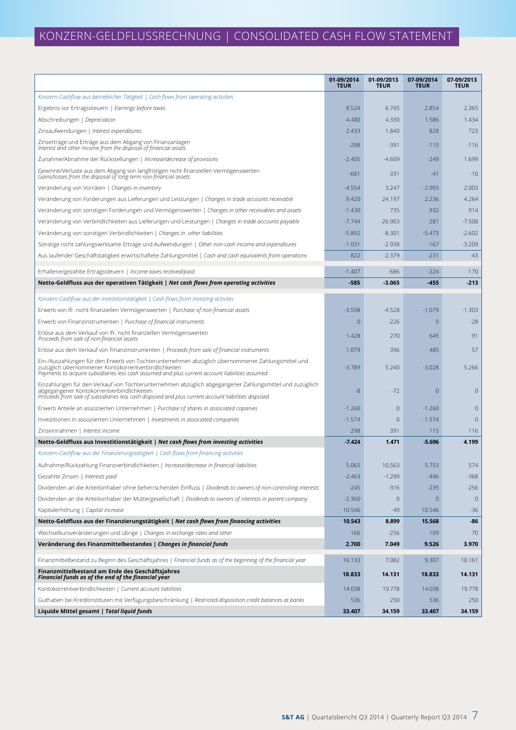|                                                                                                                                                                                                                                                               | 01-09/2014<br><b>TEUR</b> | 01-09/2013<br><b>TEUR</b> | 07-09/2014<br><b>TEUR</b> | 07-09/2013<br><b>TEUR</b> |
|---------------------------------------------------------------------------------------------------------------------------------------------------------------------------------------------------------------------------------------------------------------|---------------------------|---------------------------|---------------------------|---------------------------|
| Konzern-Cashflow aus betrieblicher Tätigkeit   Cash flows from operating activities                                                                                                                                                                           |                           |                           |                           |                           |
| Ergebnis vor Ertragssteuern   Earnings before taxes                                                                                                                                                                                                           | 8.524                     | 6.745                     | 2.854                     | 2.365                     |
| Abschreibungen   Depreciation                                                                                                                                                                                                                                 | 4.480                     | 4.330                     | 1.586                     | 1.434                     |
| Zinsaufwendungen   Interest expenditures                                                                                                                                                                                                                      | 2.433                     | 1.840                     | 828                       | 723                       |
| Zinserträge und Erträge aus dem Abgang von Finanzanlagen<br>Interest and other income from the disposal of financial assets                                                                                                                                   | $-298$                    | $-391$                    | $-115$                    | $-116$                    |
| Zunahme/Abnahme der Rückstellungen   Increase/decrease of provisions                                                                                                                                                                                          | $-2.405$                  | $-4.609$                  | $-249$                    | 1.699                     |
| Gewinne/Verluste aus dem Abgang von langfristigen nicht-finanziellen Vermögenswerten<br>Gains/losses from the disposal of long-term non-financial assets                                                                                                      | $-681$                    | $-331$                    | $-41$                     | $-10$                     |
| Veränderung von Vorräten   Changes in inventory                                                                                                                                                                                                               | $-4.554$                  | 3.247                     | $-2.903$                  | 2.003                     |
| Veränderung von Forderungen aus Lieferungen und Leistungen   Changes in trade accounts receivable                                                                                                                                                             | 9.420                     | 24.197                    | 2.236                     | 4.264                     |
| Veränderung von sonstigen Forderungen und Vermögenswerten   Changes in other receivables and assets                                                                                                                                                           | $-1.430$                  | 735                       | 932                       | 914                       |
| Veränderung von Verbindlichkeiten aus Lieferungen und Leistungen   Changes in trade accounts payable                                                                                                                                                          | $-7.744$                  | $-26.903$                 | 281                       | $-7.508$                  |
| Veränderung von sonstigen Verbindlichkeiten   Changes in other liabilities                                                                                                                                                                                    | $-5.892$                  | $-8.301$                  | $-5.473$                  | $-2.602$                  |
| Sonstige nicht zahlungswirksame Erträge und Aufwendungen   Other non-cash income and expenditures                                                                                                                                                             | $-1.031$                  | $-2.938$                  | $-167$                    | $-3.209$                  |
| Aus laufender Geschäftstätigkeit erwirtschaftete Zahlungsmittel   Cash and cash equivalents from operations                                                                                                                                                   | 822                       | $-2.379$                  | $-231$                    | $-43$                     |
| Erhaltene/gezahlte Ertragssteuern   Income taxes received/paid                                                                                                                                                                                                | $-1.407$                  | $-686$                    | $-224$                    | $-170$                    |
| Netto-Geldfluss aus der operativen Tätigkeit   Net cash flows from operating activities                                                                                                                                                                       | $-585$                    | $-3.065$                  | $-455$                    | $-213$                    |
| Konzern-Cashflow aus der Investitionstätigkeit   Cash flows from investing activites                                                                                                                                                                          |                           |                           |                           |                           |
| Erwerb von Ifr. nicht-finanziellen Vermögenswerten   Purchase of non-financial assets                                                                                                                                                                         | $-3.598$                  | $-4.528$                  | $-1.079$                  | $-1.303$                  |
| Erwerb von Finanzinstrumenten   Purchase of financial instruments                                                                                                                                                                                             | 0                         | $-226$                    | $\overline{0}$            | $-28$                     |
| Erlöse aus dem Verkauf von Ifr. nicht finanziellen Vermögenswerten<br>Proceeds from sale of non-financial assets                                                                                                                                              | 1.428                     | 270                       | 645                       | 91                        |
| Erlöse aus dem Verkauf von Finanzinstrumenten   Proceeds from sale of financial instruments                                                                                                                                                                   | 1.079                     | 396                       | 485                       | 57                        |
| Ein-/Auszahlungen für den Erwerb von Tochterunternehmen abzüglich übernommener Zahlungsmittel und<br>zuzüglich übernommener Kontokorrentverbindlichkeiten<br>Payments to acquire subsidiaries less cash assumed and plus current account liabilities assumed  | $-3.789$                  | 5.240                     | $-3.028$                  | 5.266                     |
| Einzahlungen für den Verkauf von Tochterunternehmen abzüglich abgegangener Zahlungsmittel und zuzügllich<br>abgegangener Kontokorrentverbindlichkeiten<br>Proceeds from sale of subsidiaries less cash disposed and plus current account liabilities disposed | -8                        | -72                       | $\mathbf{0}$              | $\overline{0}$            |
| Erwerb Anteile an assoziierten Unternehmen   Purchase of shares in associated copanies                                                                                                                                                                        | $-1.260$                  | $\overline{0}$            | $-1.260$                  | $\mathbf{0}$              |
| Investitionen in assoziierten Unternehmen   Investments in associated companies                                                                                                                                                                               | $-1.574$                  | $\overline{0}$            | $-1.574$                  | $\mathbf{0}$              |
| Zinseinnahmen   Interest income                                                                                                                                                                                                                               | 298                       | 391                       | 115                       | 116                       |
| Netto-Geldfluss aus Investitionstätigkeit   Net cash flows from investing activities                                                                                                                                                                          | $-7.424$                  | 1.471                     | $-5.696$                  | 4.199                     |
| Konzern-Cashflow aus der Finanzierungstätigkeit   Cash flows from financing activities                                                                                                                                                                        |                           |                           |                           |                           |
| Aufnahme/Rückzahlung Finanzverbindlichkeiten   Increase/decrease in financial liabilities                                                                                                                                                                     | 5.065                     | 10.563                    | 5.753                     | 574                       |
| Gezahlte Zinsen   Interests paid                                                                                                                                                                                                                              | $-2.463$                  | $-1.299$                  | $-496$                    | $-368$                    |
| Dividenden an die Anteilsinhaber ohne beherrschenden Einfluss   Dividends to owners of non-controlling interests                                                                                                                                              | $-245$                    | $-316$                    | $-235$                    | $-256$                    |
| Dividenden an die Anteilsinhaber der Muttergesellschaft   Dividends to owners of interests in parent company                                                                                                                                                  | $-2.360$                  | $\mathbf 0$               | $\mathbf 0$               | $\overline{0}$            |
| Kapitalerhöhung   Capital increase                                                                                                                                                                                                                            | 10.546                    | -49                       | 10.546                    | $-36$                     |
| Netto-Geldfluss aus der Finanzierungstätigkeit   Net cash flows from financing activities                                                                                                                                                                     | 10.543                    | 8.899                     | 15.568                    | -86                       |
| Wechselkursveränderungen und übrige   Changes in exchange rates and other                                                                                                                                                                                     | 166                       | $-256$                    | 109                       | 70                        |
| Veränderung des Finanzmittelbestandes   Changes in financial funds                                                                                                                                                                                            | 2.700                     | 7.049                     | 9.526                     | 3.970                     |
| Finanzmittelbestand zu Beginn des Geschäftsjahres   Financial funds as of the beginning of the financial year                                                                                                                                                 | 16.133                    | 7.082                     | 9.307                     | 10.161                    |
| Finanzmittelbestand am Ende des Geschäftsjahres<br>Financial funds as of the end of the financial year                                                                                                                                                        | 18.833                    | 14.131                    | 18.833                    | 14.131                    |
| Kontokorrentverbindlichkeiten   Current account liabilities                                                                                                                                                                                                   | 14.038                    | 19.778                    | 14.038                    | 19.778                    |
| Guthaben bei Kreditinstituten mit Verfügungsbeschränkung   Restricted-disposition credit balances at banks                                                                                                                                                    | 536                       | 250                       | 536                       | 250                       |
| Liquide Mittel gesamt   Total liquid funds                                                                                                                                                                                                                    | 33.407                    | 34.159                    | 33.407                    | 34.159                    |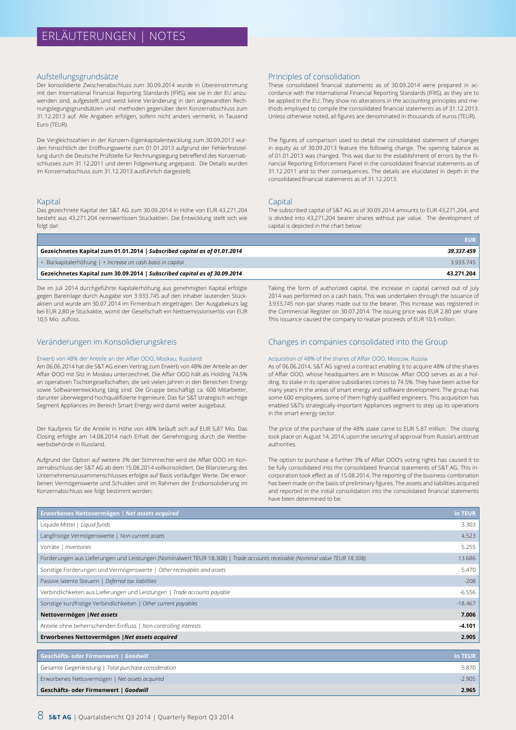#### Aufstellungsgrundsätze

Der konsolidierte Zwischenabschluss zum 30.09.2014 wurde in Übereinstimmung mit den International Financial Reporting Standards (IFRS), wie sie in der EU anzuwenden sind, aufgestellt und weist keine Veränderung in den angewandten Rechnungslegungsgrundsätzen und -methoden gegenüber dem Konzernabschluss zum 31.12.2013 auf. Alle Angaben erfolgen, sofern nicht anders vermerkt, in Tausend Euro (TEUR).

Die Vergleichszahlen in der Konzern-Eigenkapitalentwicklung zum 30.09.2013 wurden hinsichtlich der Eröffnungswerte zum 01.01.2013 aufgrund der Fehlerfeststellung durch die Deutsche Prüfstelle für Rechnungslegung betreffend des Konzernabschlusses zum 31.12.2011 und deren Folgewirkung angepasst. Die Details wurden im Konzernabschluss zum 31.12.2013 ausführlich dargestellt.

#### Kapital

Das gezeichnete Kapital der S&T AG zum 30.09.2014 in Höhe von EUR 43.271.204 besteht aus 43.271.204 nennwertlosen Stückaktien. Die Entwicklung stellt sich wie folgt dar:

#### Principles of consolidation

These consolidated financial statements as of 30.09.2014 were prepared in accordance with the International Financial Reporting Standards (IFRS), as they are to be applied in the EU. They show no alterations in the accounting principles and methods employed to compile the consolidated financial statements as of 31.12.2013. Unless otherwise noted, all figures are denominated in thousands of euros (TEUR).

The figures of comparison used to detail the consolidated statement of changes in equity as of 30.09.2013 feature the following change. The opening balance as of 01.01.2013 was changed. This was due to the establishment of errors by the Financial Reporting Enforcement Panel in the consolidated financial statements as of 31.12.2011 and to their consequences. The details are elucidated in depth in the consolidated financial statements as of 31.12.2013.

#### **Capital**

The subscribed capital of S&T AG as of 30.09.2014 amounts to EUR 43,271,204, and is divided into 43,271,204 bearer shares without par value. The development of capital is depicted in the chart below:

Taking the form of authorized capital, the increase in capital carried out of July 2014 was performed on a cash basis. This was undertaken through the issuance of 3,933,745 non-par shares made out to the bearer. This increase was registered in the Commercial Register on 30.07.2014. The issuing price was EUR 2.80 per share. This issuance caused the company to realize proceeds of EUR 10.5 million.

|                                                                           | FUR :      |
|---------------------------------------------------------------------------|------------|
| Gezeichnetes Kapital zum 01.01.2014   Subscribed capital as of 01.01.2014 | 39.337.459 |
| $+$ Barkapitalerhöhung $+$ Increase on cash basis in capital              | 3.933.745  |
| Gezeichnetes Kapital zum 30.09.2014   Subscribed capital as of 30.09.2014 | 43.271.204 |

Die im Juli 2014 durchgeführte Kapitalerhöhung aus genehmigten Kapital erfolgte gegen Bareinlage durch Ausgabe von 3.933.745 auf den Inhaber lautenden Stückaktien und wurde am 30.07.2014 im Firmenbuch eingetragen. Der Ausgabekurs lag bei EUR 2,80 je Stückaktie, womit der Gesellschaft ein Nettoemissionserlös von EUR 10,5 Mio. zufloss.

#### Veränderungen im Konsolidierungskreis

#### Erwerb von 48% der Anteile an der Affair OOO, Moskau, Russland

Am 06.06.2014 hat die S&T AG einen Vertrag zum Erwerb von 48% der Anteile an der Affair OOO mit Sitz in Moskau unterzeichnet. Die Affair OOO hält als Holding 74,5% an operativen Tochtergesellschaften, die seit vielen Jahren in den Bereichen Energy sowie Softwareentwicklung tätig sind. Die Gruppe beschäftigt ca. 600 Mitarbeiter, darunter überwiegend hochqualifizierte Ingenieure. Das für S&T strategisch wichtige Segment Appliances im Bereich Smart Energy wird damit weiter ausgebaut.

Der Kaufpreis für die Anteile in Höhe von 48% beläuft sich auf EUR 5,87 Mio. Das Closing erfolgte am 14.08.2014 nach Erhalt der Genehmigung durch die Wettbewerbsbehörde in Russland.

Aufgrund der Option auf weitere 3% der Stimmrechte wird die Affair OOO im Konzernabschluss der S&T AG ab dem 15.08.2014 vollkonsolidiert. Die Bilanzierung des Unternehmenszusammenschlusses erfolgte auf Basis vorläufiger Werte. Die erworbenen Vermögenswerte und Schulden sind im Rahmen der Erstkonsolidierung im Konzernabschluss wie folgt bestimmt worden:

### Changes in companies consolidated into the Group

#### Acquisition of 48% of the shares of Affair OOO, Moscow, Russia

As of 06.06.2014, S&T AG signed a contract enabling it to acquire 48% of the shares of Affair OOO, whose headquarters are in Moscow. Affair OOO serves as as a holding. Its stake in its operative subsidiaries comes to 74.5%. They have been active for many years in the areas of smart energy and software development. The group has some 600 employees, some of them highly qualified engineers. This acquisition has enabled S&T's strategically-important Appliances segment to step up its operations in the smart energy sector.

The price of the purchase of the 48% stake came to EUR 5.87 million. The closing took place on August 14, 2014, upon the securing of approval from Russia's antitrust authorities.

The option to purchase a further 3% of Affair OOO's voting rights has caused it to be fully consolidated into the consolidated financial statements of S&T AG. This incorporation took effect as of 15.08.2014. The reporting of the business-combination has been made on the basis of preliminary figures. The assets and liabilities acquired and reported in the initial consolidation into the consolidated financial statements have been determined to be:

| Erworbenes Nettovermögen   Net assets acquired                                                                               | in TEUR   |
|------------------------------------------------------------------------------------------------------------------------------|-----------|
| Liquide Mittel   Liquid funds                                                                                                | 3.303     |
| Langfristige Vermögenswerte   Non-current assets                                                                             | 4.523     |
| Vorräte   Inventories                                                                                                        | 5.255     |
| Forderungen aus Lieferungen und Leistungen (Nominalwert TEUR 18.308)   Trade accounts receivable (Nominal value TEUR 18.308) | 13.686    |
| Sonstige Forderungen und Vermögenswerte   Other receivables and assets                                                       | 5.470     |
| Passive latente Steuern   Deferred tax liabilities                                                                           | $-208$    |
| Verbindlichkeiten aus Lieferungen und Leistungen   Trade accounts payable                                                    | $-6.556$  |
| Sonstige kurzfristige Verbindlichkeiten   Other current payables                                                             | $-18.467$ |
| Nettovermögen   Net assets                                                                                                   | 7.006     |
| Anteile ohne beherrschenden Einfluss   Non-controlling interests                                                             | $-4.101$  |
| Erworbenes Nettovermögen   Net assets acquired                                                                               | 2.905     |
|                                                                                                                              |           |
| Geschäfts- oder Firmenwert   Goodwill                                                                                        | in TEUR   |
| Gesamte Gegenleistung   Total purchase consideration                                                                         | 5.870     |
| Erworbenes Nettovermögen   Net assets acquired                                                                               | $-2.905$  |

**Geschäfts- oder Firmenwert |** *Goodwill* **2.965**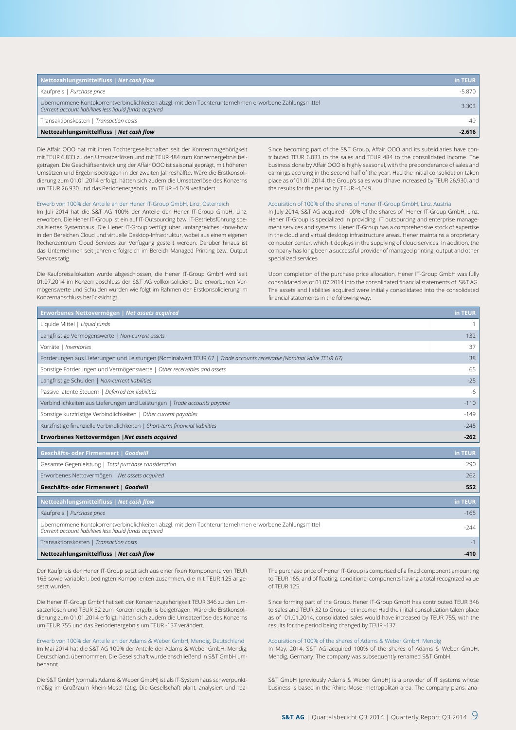| Nettozahlungsmittelfluss   Net cash flow                                                                                                                       | in TEUR  |
|----------------------------------------------------------------------------------------------------------------------------------------------------------------|----------|
| Kaufpreis   Purchase price                                                                                                                                     | $-5.870$ |
| Übernommene Kontokorrentverbindlichkeiten abzgl. mit dem Tochterunternehmen erworbene Zahlungsmittel<br>Current account liabilities less liquid funds acquired | 3.303    |
| Transaktionskosten   Transaction costs                                                                                                                         | $-49$    |
| Nettozahlungsmittelfluss   Net cash flow                                                                                                                       | -2.616   |

Die Affair OOO hat mit ihren Tochtergesellschaften seit der Konzernzugehörigkeit mit TEUR 6.833 zu den Umsatzerlösen und mit TEUR 484 zum Konzernergebnis beigetragen. Die Geschäftsentwicklung der Affair OOO ist saisonal geprägt, mit höheren Umsätzen und Ergebnisbeiträgen in der zweiten Jahreshälfte. Wäre die Erstkonsolidierung zum 01.01.2014 erfolgt, hätten sich zudem die Umsatzerlöse des Konzerns um TEUR 26.930 und das Periodenergebnis um TEUR -4.049 verändert.

#### Erwerb von 100% der Anteile an der Hener IT-Group GmbH, Linz, Österreich

Im Juli 2014 hat die S&T AG 100% der Anteile der Hener IT-Group GmbH, Linz, erworben. Die Hener IT-Group ist ein auf IT-Outsourcing bzw. IT-Betriebsführung spezialisiertes Systemhaus. Die Hener IT-Group verfügt über umfangreiches Know-how in den Bereichen Cloud und virtuelle Desktop-Infrastruktur, wobei aus einem eigenen Rechenzentrum Cloud Services zur Verfügung gestellt werden. Darüber hinaus ist das Unternehmen seit Jahren erfolgreich im Bereich Managed Printing bzw. Output Services tätig.

Die Kaufpreisallokation wurde abgeschlossen, die Hener IT-Group GmbH wird seit 01.07.2014 im Konzernabschluss der S&T AG vollkonsolidiert. Die erworbenen Vermögenswerte und Schulden wurden wie folgt im Rahmen der Erstkonsolidierung im Konzernabschluss berücksichtigt:

Since becoming part of the S&T Group, Affair OOO and its subsidiaries have contributed TEUR 6,833 to the sales and TEUR 484 to the consolidated income. The business done by Affair OOO is highly seasonal, with the preponderance of sales and earnings accruing in the second half of the year. Had the initial consolidation taken place as of 01.01.2014, the Group's sales would have increased by TEUR 26,930, and the results for the period by TEUR -4,049.

#### Acquisition of 100% of the shares of Hener IT-Group GmbH, Linz, Austria

In July 2014, S&T AG acquired 100% of the shares of Hener IT-Group GmbH, Linz. Hener IT-Group is specialized in providing IT outsourcing and enterprise management services and systems. Hener IT-Group has a comprehensive stock of expertise in the cloud and virtual desktop infrastructure areas. Hener maintains a proprietary computer center, which it deploys in the supplying of cloud services. In addition, the company has long been a successful provider of managed printing, output and other specialized services

Upon completion of the purchase price allocation, Hener IT-Group GmbH was fully consolidated as of 01.07.2014 into the consolidated financial statements of S&T AG. The assets and liabilities acquired were initially consolidated into the consolidated financial statements in the following way:

| Erworbenes Nettovermögen   Net assets acquired                                                                                                                 | in TEUR |
|----------------------------------------------------------------------------------------------------------------------------------------------------------------|---------|
| Liquide Mittel   Liquid funds                                                                                                                                  |         |
| Langfristige Vermögenswerte   Non-current assets                                                                                                               | 132     |
| Vorräte   Inventories                                                                                                                                          | 37      |
| Forderungen aus Lieferungen und Leistungen (Nominalwert TEUR 67   Trade accounts receivable (Nominal value TEUR 67)                                            | 38      |
| Sonstige Forderungen und Vermögenswerte   Other receivables and assets                                                                                         | 65      |
| Langfristige Schulden   Non-current liabilities                                                                                                                | $-25$   |
| Passive latente Steuern   Deferred tax liabilities                                                                                                             | $-6$    |
| Verbindlichkeiten aus Lieferungen und Leistungen   Trade accounts payable                                                                                      | $-110$  |
| Sonstige kurzfristige Verbindlichkeiten   Other current payables                                                                                               | $-149$  |
| Kurzfristige finanzielle Verbindlichkeiten   Short-term financial liabilities                                                                                  | $-245$  |
| Erworbenes Nettovermögen   Net assets acquired                                                                                                                 | $-262$  |
| Geschäfts- oder Firmenwert   Goodwill                                                                                                                          | in TEUR |
| Gesamte Gegenleistung   Total purchase consideration                                                                                                           | 290     |
| Erworbenes Nettovermögen   Net assets acquired                                                                                                                 | 262     |
| Geschäfts- oder Firmenwert   Goodwill                                                                                                                          | 552     |
| Nettozahlungsmittelfluss   Net cash flow                                                                                                                       | in TEUR |
| Kaufpreis   Purchase price                                                                                                                                     | $-165$  |
| Übernommene Kontokorrentverbindlichkeiten abzgl. mit dem Tochterunternehmen erworbene Zahlungsmittel<br>Current account liabilities less liquid funds acquired | $-244$  |
| Transaktionskosten   Transaction costs                                                                                                                         | $-1$    |
| Nettozahlungsmittelfluss   Net cash flow                                                                                                                       | $-410$  |

Der Kaufpreis der Hener IT-Group setzt sich aus einer fixen Komponente von TEUR 165 sowie variablen, bedingten Komponenten zusammen, die mit TEUR 125 angesetzt wurden.

Die Hener IT-Group GmbH hat seit der Konzernzugehörigkeit TEUR 346 zu den Umsatzerlösen und TEUR 32 zum Konzernergebnis beigetragen. Wäre die Erstkonsolidierung zum 01.01.2014 erfolgt, hätten sich zudem die Umsatzerlöse des Konzerns um TEUR 755 und das Periodenergebnis um TEUR -137 verändert.

Erwerb von 100% der Anteile an der Adams & Weber GmbH, Mendig, Deutschland Im Mai 2014 hat die S&T AG 100% der Anteile der Adams & Weber GmbH, Mendig, Deutschland, übernommen. Die Gesellschaft wurde anschließend in S&T GmbH umbenannt.

Die S&T GmbH (vormals Adams & Weber GmbH) ist als IT-Systemhaus schwerpunktmäßig im Großraum Rhein-Mosel tätig. Die Gesellschaft plant, analysiert und reaThe purchase price of Hener IT-Group is comprised of a fixed component amounting to TEUR 165, and of floating, conditional components having a total recognized value of TEUR 125.

Since forming part of the Group, Hener IT-Group GmbH has contributed TEUR 346 to sales and TEUR 32 to Group net income. Had the initial consolidation taken place as of 01.01.2014, consolidated sales would have increased by TEUR 755, with the results for the period being changed by TEUR -137.

#### Acquisition of 100% of the shares of Adams & Weber GmbH, Mendig

In May, 2014, S&T AG acquired 100% of the shares of Adams & Weber GmbH, Mendig, Germany. The company was subsequently renamed S&T GmbH.

S&T GmbH (previously Adams & Weber GmbH) is a provider of IT systems whose business is based in the Rhine-Mosel metropolitan area. The company plans, ana-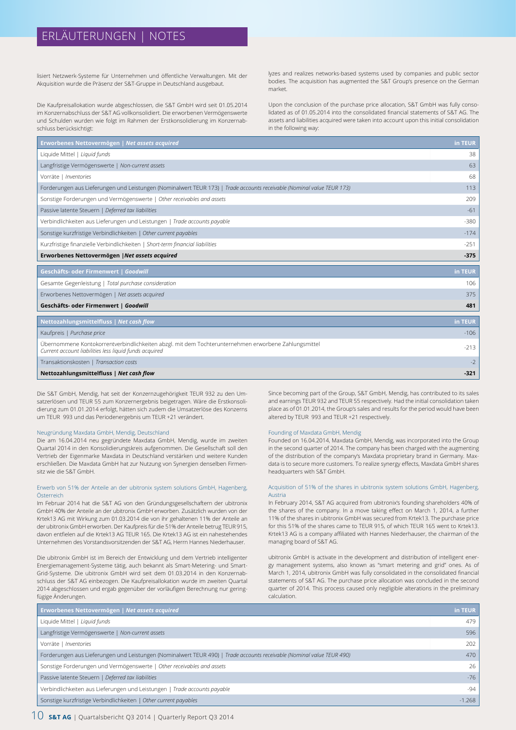## ERLÄUTERUNGEN | NOTES

lisiert Netzwerk-Systeme für Unternehmen und öffentliche Verwaltungen. Mit der Akquisition wurde die Präsenz der S&T-Gruppe in Deutschland ausgebaut.

Die Kaufpreisallokation wurde abgeschlossen, die S&T GmbH wird seit 01.05.2014 im Konzernabschluss der S&T AG vollkonsolidiert. Die erworbenen Vermögenswerte und Schulden wurden wie folgt im Rahmen der Erstkonsolidierung im Konzernabschluss berücksichtigt:

lyzes and realizes networks-based systems used by companies and public sector bodies. The acquisition has augmented the S&T Group's presence on the German market.

Upon the conclusion of the purchase price allocation, S&T GmbH was fully consolidated as of 01.05.2014 into the consolidated financial statements of S&T AG. The assets and liabilities acquired were taken into account upon this initial consolidation in the following way:

| Erworbenes Nettovermögen   Net assets acquired                                                                                                                 | in TEUR |
|----------------------------------------------------------------------------------------------------------------------------------------------------------------|---------|
| Liquide Mittel   Liquid funds                                                                                                                                  | 38      |
| Langfristige Vermögenswerte   Non-current assets                                                                                                               | 63      |
| Vorräte   Inventories                                                                                                                                          | 68      |
| Forderungen aus Lieferungen und Leistungen (Nominalwert TEUR 173)   Trade accounts receivable (Nominal value TEUR 173)                                         | 113     |
| Sonstige Forderungen und Vermögenswerte   Other receivables and assets                                                                                         | 209     |
| Passive latente Steuern   Deferred tax liabilities                                                                                                             | $-61$   |
| Verbindlichkeiten aus Lieferungen und Leistungen   Trade accounts payable                                                                                      | $-380$  |
| Sonstige kurzfristige Verbindlichkeiten   Other current payables                                                                                               | $-174$  |
| Kurzfristige finanzielle Verbindlichkeiten   Short-term financial liabilities                                                                                  | $-251$  |
| Erworbenes Nettovermögen   Net assets acquired                                                                                                                 | $-375$  |
| Geschäfts- oder Firmenwert   Goodwill                                                                                                                          | in TEUR |
|                                                                                                                                                                |         |
| Gesamte Gegenleistung   Total purchase consideration                                                                                                           | 106     |
| Erworbenes Nettovermögen   Net assets acquired                                                                                                                 | 375     |
| Geschäfts- oder Firmenwert   Goodwill                                                                                                                          | 481     |
| Nettozahlungsmittelfluss   Net cash flow                                                                                                                       | in TEUR |
| Kaufpreis   Purchase price                                                                                                                                     | $-106$  |
| Übernommene Kontokorrentverbindlichkeiten abzgl. mit dem Tochterunternehmen erworbene Zahlungsmittel<br>Current account liabilities less liquid funds acquired | $-213$  |
|                                                                                                                                                                |         |
| Transaktionskosten   Transaction costs                                                                                                                         | $-2$    |

Die S&T GmbH, Mendig, hat seit der Konzernzugehörigkeit TEUR 932 zu den Umsatzerlösen und TEUR 55 zum Konzernergebnis beigetragen. Wäre die Erstkonsolidierung zum 01.01.2014 erfolgt, hätten sich zudem die Umsatzerlöse des Konzerns um TEUR 993 und das Periodenergebnis um TEUR +21 verändert.

#### Neugründung Maxdata GmbH, Mendig, Deutschland

Die am 16.04.2014 neu gegründete Maxdata GmbH, Mendig, wurde im zweiten Quartal 2014 in den Konsolidierungskreis aufgenommen. Die Gesellschaft soll den Vertrieb der Eigenmarke Maxdata in Deutschland verstärken und weitere Kunden erschließen. Die Maxdata GmbH hat zur Nutzung von Synergien denselben Firmensitz wie die S&T GmbH.

#### Erwerb von 51% der Anteile an der ubitronix system solutions GmbH, Hagenberg, Österreich

Im Februar 2014 hat die S&T AG von den Gründungsgesellschaftern der ubitronix GmbH 40% der Anteile an der ubitronix GmbH erworben. Zusätzlich wurden von der Krtek13 AG mit Wirkung zum 01.03.2014 die von ihr gehaltenen 11% der Anteile an der ubitronix GmbH erworben. Der Kaufpreis für die 51% der Anteile betrug TEUR 915, davon entfielen auf die Krtek13 AG TEUR 165. Die Krtek13 AG ist ein nahestehendes Unternehmen des Vorstandsvorsitzenden der S&T AG, Herrn Hannes Niederhauser.

Die ubitronix GmbH ist im Bereich der Entwicklung und dem Vertrieb intelligenter Energiemanagement-Systeme tätig, auch bekannt als Smart-Metering- und Smart-Grid-Systeme. Die ubitronix GmbH wird seit dem 01.03.2014 in den Konzernabschluss der S&T AG einbezogen. Die Kaufpreisallokation wurde im zweiten Quartal 2014 abgeschlossen und ergab gegenüber der vorläufigen Berechnung nur geringfügige Änderungen.

Since becoming part of the Group, S&T GmbH, Mendig, has contributed to its sales and earnings TEUR 932 and TEUR 55 respectively. Had the initial consolidation taken place as of 01.01.2014, the Group's sales and results for the period would have been altered by TEUR 993 and TEUR +21 respectively.

#### Founding of Maxdata GmbH, Mendig

Founded on 16.04.2014, Maxdata GmbH, Mendig, was incorporated into the Group in the second quarter of 2014. The company has been charged with the augmenting of the distribution of the company's Maxdata proprietary brand in Germany. Maxdata is to secure more customers. To realize synergy effects, Maxdata GmbH shares headquarters with S&T GmbH.

#### Acquisition of 51% of the shares in ubitronix system solutions GmbH, Hagenberg, Austria

In February 2014, S&T AG acquired from ubitronix's founding shareholders 40% of the shares of the company. In a move taking effect on March 1, 2014, a further 11% of the shares in ubitronix GmbH was secured from Krtek13. The purchase price for this 51% of the shares came to TEUR 915, of which TEUR 165 went to Krtek13. Krtek13 AG is a company affiliated with Hannes Niederhauser, the chairman of the managing board of S&T AG.

ubitronix GmbH is activate in the development and distribution of intelligent energy management systems, also known as "smart metering and grid" ones. As of March 1, 2014, ubitronix GmbH was fully consolidated in the consolidated financial statements of S&T AG. The purchase price allocation was concluded in the second quarter of 2014. This process caused only negligible alterations in the preliminary calculation.

| <b>Erworbenes Nettovermögen   Net assets acquired</b>                                                                  | in TEUR  |
|------------------------------------------------------------------------------------------------------------------------|----------|
| Liquide Mittel   Liquid funds                                                                                          | 479      |
| Langfristige Vermögenswerte   Non-current assets                                                                       | 596      |
| Vorräte   Inventories                                                                                                  | 202      |
| Forderungen aus Lieferungen und Leistungen (Nominalwert TEUR 490)   Trade accounts receivable (Nominal value TEUR 490) | 470      |
| Sonstige Forderungen und Vermögenswerte   Other receivables and assets                                                 | 26       |
| Passive latente Steuern   Deferred tax liabilities                                                                     | $-76$    |
| Verbindlichkeiten aus Lieferungen und Leistungen   Trade accounts payable                                              | $-94$    |
| Sonstige kurzfristige Verbindlichkeiten   Other current payables                                                       | $-1.268$ |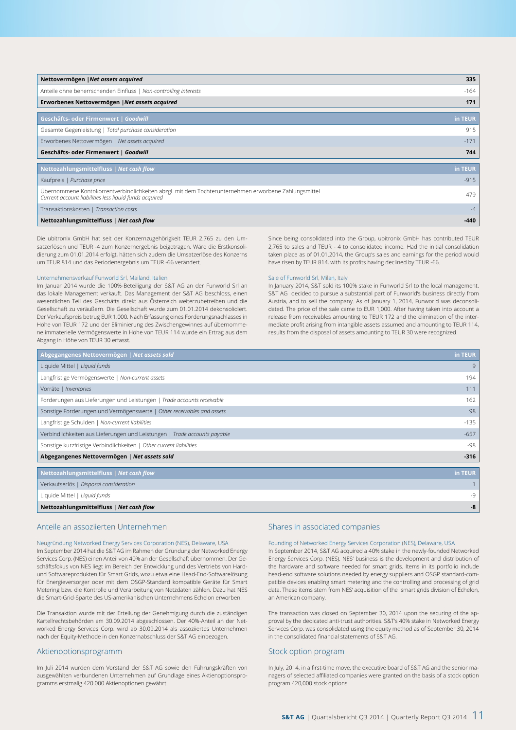| Nettovermögen   Net assets acquired                                                                                                                            | 335      |
|----------------------------------------------------------------------------------------------------------------------------------------------------------------|----------|
| Anteile ohne beherrschenden Einfluss   Non-controlling interests                                                                                               | $-164$   |
| Erworbenes Nettovermögen   Net assets acquired                                                                                                                 | 171      |
| Geschäfts- oder Firmenwert   Goodwill                                                                                                                          | in TEUR. |
| Gesamte Gegenleistung   Total purchase consideration                                                                                                           | 915      |
| Erworbenes Nettovermögen   Net assets acquired                                                                                                                 | $-171$   |
| Geschäfts- oder Firmenwert   Goodwill                                                                                                                          | 744      |
| Nettozahlungsmittelfluss   Net cash flow                                                                                                                       | in TEUR  |
| Kaufpreis   Purchase price                                                                                                                                     | $-915$   |
| Übernommene Kontokorrentverbindlichkeiten abzgl. mit dem Tochterunternehmen erworbene Zahlungsmittel<br>Current account liabilities less liquid funds acquired | 479      |
| Transaktionskosten   Transaction costs                                                                                                                         | $-4$     |
| Nettozahlungsmittelfluss   Net cash flow                                                                                                                       | $-440$   |

Die ubitronix GmbH hat seit der Konzernzugehörigkeit TEUR 2.765 zu den Umsatzerlösen und TEUR -4 zum Konzernergebnis beigetragen. Wäre die Erstkonsolidierung zum 01.01.2014 erfolgt, hätten sich zudem die Umsatzerlöse des Konzerns um TEUR 814 und das Periodenergebnis um TEUR -66 verändert.

#### Unternehmensverkauf Funworld Srl, Mailand, Italien

Im Januar 2014 wurde die 100%-Beteiligung der S&T AG an der Funworld Srl an das lokale Management verkauft. Das Management der S&T AG beschloss, einen wesentlichen Teil des Geschäfts direkt aus Österreich weiterzubetreiben und die Gesellschaft zu veräußern. Die Gesellschaft wurde zum 01.01.2014 dekonsolidiert. Der Verkaufspreis betrug EUR 1.000. Nach Erfassung eines Forderungsnachlasses in Höhe von TEUR 172 und der Eliminierung des Zwischengewinnes auf übernommene immaterielle Vermögenswerte in Höhe von TEUR 114 wurde ein Ertrag aus dem Abgang in Höhe von TEUR 30 erfasst.

Since being consolidated into the Group, ubitronix GmbH has contributed TEUR 2,765 to sales and TEUR - 4 to consolidated income. Had the initial consolidation taken place as of 01.01.2014, the Group's sales and earnings for the period would have risen by TEUR 814, with its profits having declined by TEUR -66.

#### Sale of Funworld Srl, Milan, Italy

In January 2014, S&T sold its 100% stake in Funworld Srl to the local management. S&T AG decided to pursue a substantial part of Funworld's business directly from Austria, and to sell the company. As of January 1, 2014, Funworld was deconsolidated. The price of the sale came to EUR 1,000. After having taken into account a release from receivables amounting to TEUR 172 and the elimination of the intermediate profit arising from intangible assets assumed and amounting to TEUR 114, results from the disposal of assets amounting to TEUR 30 were recognized.

| Abgegangenes Nettovermögen   Net assets sold                              | in TEUR |
|---------------------------------------------------------------------------|---------|
| Liquide Mittel   Liquid funds                                             | 9       |
| Langfristige Vermögenswerte   Non-current assets                          | 194     |
| Vorräte   Inventories                                                     | 111     |
| Forderungen aus Lieferungen und Leistungen   Trade accounts receivable    | 162     |
| Sonstige Forderungen und Vermögenswerte   Other receivables and assets    | 98      |
| Langfristige Schulden   Non-current liabilities                           | $-135$  |
| Verbindlichkeiten aus Lieferungen und Leistungen   Trade accounts payable | $-657$  |
| Sonstige kurzfristige Verbindlichkeiten   Other current liabilities       | $-98$   |
| Abgegangenes Nettovermögen   Net assets sold                              | $-316$  |
|                                                                           |         |
| Nettozahlungsmittelfluss   Net cash flow                                  | in TEUR |
| Verkaufserlös   Disposal consideration                                    |         |
| Liquide Mittel   Liquid funds                                             | $-9$    |
| Nettozahlungsmittelfluss   Net cash flow                                  | -8      |

### Anteile an assoziierten Unternehmen

Neugründung Networked Energy Services Corporation (NES), Delaware, USA Im September 2014 hat die S&T AG im Rahmen der Gründung der Networked Energy Services Corp. (NES) einen Anteil von 40% an der Gesellschaft übernommen. Der Geschäftsfokus von NES liegt im Bereich der Entwicklung und des Vertriebs von Hardund Softwareprodukten für Smart Grids, wozu etwa eine Head-End-Softwarelösung für Energieversorger oder mit dem OSGP-Standard kompatible Geräte für Smart Metering bzw. die Kontrolle und Verarbeitung von Netzdaten zählen. Dazu hat NES die Smart-Grid-Sparte des US-amerikanischen Unternehmens Echelon erworben.

Die Transaktion wurde mit der Erteilung der Genehmigung durch die zuständigen Kartellrechtsbehörden am 30.09.2014 abgeschlossen. Der 40%-Anteil an der Networked Energy Services Corp. wird ab 30.09.2014 als assoziiertes Unternehmen nach der Equity-Methode in den Konzernabschluss der S&T AG einbezogen.

#### Aktienoptionsprogramm

Im Juli 2014 wurden dem Vorstand der S&T AG sowie den Führungskräften von ausgewählten verbundenen Unternehmen auf Grundlage eines Aktienoptionsprogramms erstmalig 420.000 Aktienoptionen gewährt.

#### Shares in associated companies

Founding of Networked Energy Services Corporation (NES), Delaware, USA In September 2014, S&T AG acquired a 40% stake in the newly-founded Networked Energy Services Corp. (NES). NES' business is the development and distribution of the hardware and software needed for smart grids. Items in its portfolio include head-end software solutions needed by energy suppliers and OSGP standard-compatible devices enabling smart metering and the controlling and processing of grid data. These items stem from NES' acquisition of the smart grids division of Echelon, an American company.

The transaction was closed on September 30, 2014 upon the securing of the approval by the dedicated anti-trust authorities. S&T's 40% stake in Networked Energy Services Corp. was consolidated using the equity method as of September 30, 2014 in the consolidated financial statements of S&T AG.

#### Stock option program

In July, 2014, in a first-time move, the executive board of S&T AG and the senior managers of selected affiliated companies were granted on the basis of a stock option program 420,000 stock options.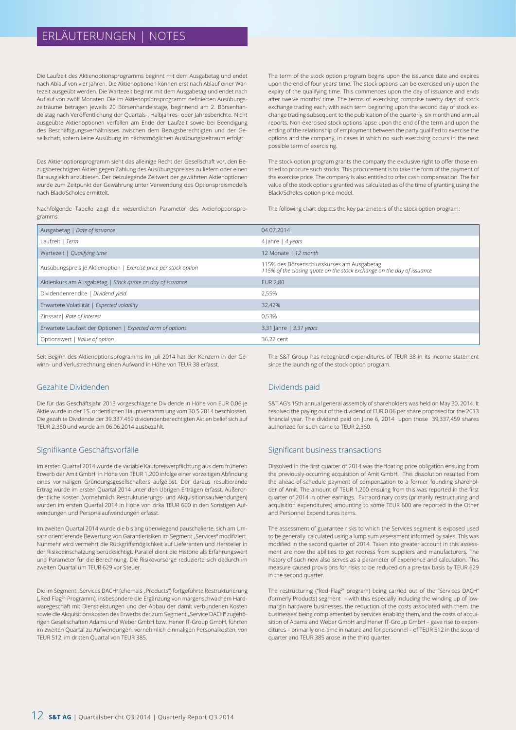## ERLÄUTERUNGEN | NOTES

Die Laufzeit des Aktienoptionsprogramms beginnt mit dem Ausgabetag und endet nach Ablauf von vier Jahren. Die Aktienoptionen können erst nach Ablauf einer Wartezeit ausgeübt werden. Die Wartezeit beginnt mit dem Ausgabetag und endet nach Auflauf von zwölf Monaten. Die im Aktienoptionsprogramm definierten Ausübungszeiträume betragen jeweils 20 Börsenhandelstage, beginnend am 2. Börsenhandelstag nach Veröffentlichung der Quartals-, Halbjahres- oder Jahresberichte. Nicht ausgeübte Aktienoptionen verfallen am Ende der Laufzeit sowie bei Beendigung des Beschäftigungsverhältnisses zwischen dem Bezugsberechtigten und der Gesellschaft, sofern keine Ausübung im nächstmöglichen Ausübungszeitraum erfolgt.

Das Aktienoptionsprogramm sieht das alleinige Recht der Gesellschaft vor, den Bezugsberechtigten Aktien gegen Zahlung des Ausübungspreises zu liefern oder einen Barausgleich anzubieten. Der beizulegende Zeitwert der gewährten Aktienoptionen wurde zum Zeitpunkt der Gewährung unter Verwendung des Optionspreismodells nach Black/Scholes ermittelt.

Nachfolgende Tabelle zeigt die wesentlichen Parameter des Aktienoptionsprogramms:

The term of the stock option program begins upon the issuance date and expires upon the end of four years' time. The stock options can be exercised only upon the expiry of the qualifying time. This commences upon the day of issuance and ends after twelve months' time. The terms of exercising comprise twenty days of stock exchange trading each, with each term beginning upon the second day of stock exchange trading subsequent to the publication of the quarterly, six month and annual reports. Non-exercised stock options lapse upon the end of the term and upon the ending of the relationship of employment between the party qualified to exercise the options and the company, in cases in which no such exercising occurs in the next possible term of exercising.

The stock option program grants the company the exclusive right to offer those entitled to procure such stocks. This procurement is to take the form of the payment of the exercise price. The company is also entitled to offer cash compensation. The fair value of the stock options granted was calculated as of the time of granting using the Black/Scholes option price model.

The following chart depicts the key parameters of the stock option program:

| Ausgabetag   Date of issuance                                    | 04.07.2014                                                                                                           |
|------------------------------------------------------------------|----------------------------------------------------------------------------------------------------------------------|
| Laufzeit   Term                                                  | 4 Jahre   4 years                                                                                                    |
| Wartezeit   Qualifying time                                      | 12 Monate   12 month                                                                                                 |
| Ausübungspreis je Aktienoption   Exercise price per stock option | 115% des Börsenschlusskurses am Ausgabetag<br>115% of the closing quote on the stock exchange on the day of issuance |
| Aktienkurs am Ausgabetag   Stock quote on day of issuance        | <b>EUR 2.80</b>                                                                                                      |
| Dividendenrendite   Dividend yield                               | 2.55%                                                                                                                |
| Erwartete Volatilität   Expected volatility                      | 32,42%                                                                                                               |
| Zinssatz   Rate of interest                                      | 0.53%                                                                                                                |
| Erwartete Laufzeit der Optionen   Expected term of options       | 3,31 Jahre   3,31 years                                                                                              |
| Optionswert   Value of option                                    | 36,22 cent                                                                                                           |

Seit Beginn des Aktienoptionsprogramms im Juli 2014 hat der Konzern in der Gewinn- und Verlustrechnung einen Aufwand in Höhe von TEUR 38 erfasst.

### Gezahlte Dividenden

Die für das Geschäftsjahr 2013 vorgeschlagene Dividende in Höhe von EUR 0,06 je Aktie wurde in der 15. ordentlichen Hauptversammlung vom 30.5.2014 beschlossen. Die gezahlte Dividende der 39.337.459 dividendenberechtigten Aktien belief sich auf TEUR 2.360 und wurde am 06.06.2014 ausbezahlt.

### Signifikante Geschäftsvorfälle

Im ersten Quartal 2014 wurde die variable Kaufpreisverpflichtung aus dem früheren Erwerb der Amit GmbH in Höhe von TEUR 1.200 infolge einer vorzeitigen Abfindung eines vormaligen Gründungsgesellschafters aufgelöst. Der daraus resultierende Ertrag wurde im ersten Quartal 2014 unter den Übrigen Erträgen erfasst. Außerordentliche Kosten (vornehmlich Restrukturierungs- und Akquisitionsaufwendungen) wurden im ersten Quartal 2014 in Höhe von zirka TEUR 600 in den Sonstigen Aufwendungen und Personalaufwendungen erfasst.

Im zweiten Quartal 2014 wurde die bislang überwiegend pauschalierte, sich am Umsatz orientierende Bewertung von Garantierisiken im Segment "Services" modifiziert. Nunmehr wird vermehrt die Rückgriffsmöglichkeit auf Lieferanten und Hersteller in der Risikoeinschätzung berücksichtigt. Parallel dient die Historie als Erfahrungswert und Parameter für die Berechnung. Die Risikovorsorge reduzierte sich dadurch im zweiten Quartal um TEUR 629 vor Steuer.

Die im Segment "Services DACH" (ehemals "Products") fortgeführte Restrukturierung ("Red Flag<sup>2</sup>"-Programm), insbesondere die Ergänzung von margenschwachem Hardwaregeschäft mit Dienstleistungen und der Abbau der damit verbundenen Kosten sowie die Akquisitionskosten des Erwerbs der zum Segment "Service DACH" zugehörigen Gesellschaften Adams und Weber GmbH bzw. Hener IT-Group GmbH, führten im zweiten Quartal zu Aufwendungen, vornehmlich einmaligen Personalkosten, von TEUR 512, im dritten Quartal von TEUR 385.

The S&T Group has recognized expenditures of TEUR 38 in its income statement since the launching of the stock option program.

### Dividends paid

S&T AG's 15th annual general assembly of shareholders was held on May 30, 2014. It resolved the paying out of the dividend of EUR 0.06 per share proposed for the 2013 financial year. The dividend paid on June 6, 2014 upon those 39,337,459 shares authorized for such came to TEUR 2,360.

#### Significant business transactions

Dissolved in the first quarter of 2014 was the floating price obligation ensuing from the previously-occurring acquisition of Amit GmbH. This dissolution resulted from the ahead-of-schedule payment of compensation to a former founding shareholder of Amit. The amount of TEUR 1,200 ensuing from this was reported in the first quarter of 2014 in other earnings. Extraordinary costs (primarily restructuring and acquisition expenditures) amounting to some TEUR 600 are reported in the Other and Personnel Expenditures items.

The assessment of guarantee risks to which the Services segment is exposed used to be generally calculated using a lump sum assessment informed by sales. This was modified in the second quarter of 2014. Taken into greater account in this assessment are now the abilities to get redress from suppliers and manufacturers. The history of such now also serves as a parameter of experience and calculation. This measure caused provisions for risks to be reduced on a pre-tax basis by TEUR 629 in the second quarter.

The restructuring ("Red Flag<sup>2</sup>" program) being carried out of the "Services DACH" (formerly Products) segment – with this especially including the winding up of lowmargin hardware businesses, the reduction of the costs associated with them, the businesses' being complemented by services enabling them, and the costs of acquisition of Adams and Weber GmbH and Hener IT-Group GmbH – gave rise to expenditures – primarily one-time in nature and for personnel – of TEUR 512 in the second quarter and TEUR 385 arose in the third quarter.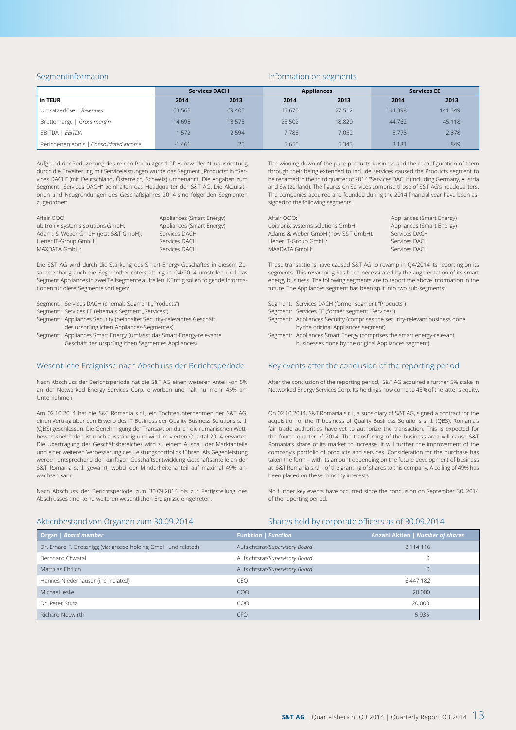#### Segmentinformation

#### Information on segments

|                                        | <b>Services DACH</b> |        | <b>Appliances</b> |        | <b>Services EE</b> |         |
|----------------------------------------|----------------------|--------|-------------------|--------|--------------------|---------|
| in TEUR                                | 2014                 | 2013   | 2014              | 2013   | 2014               | 2013    |
| Umsatzerlöse   Revenues                | 63.563               | 69.405 | 45.670            | 27.512 | 144.398            | 141.349 |
| Bruttomarge   Gross margin             | 14.698               | 13.575 | 25.502            | 18.820 | 44.762             | 45.118  |
| EBITDA   EBITDA                        | 1.572                | 2.594  | 7.788             | 7.052  | 5.778              | 2.878   |
| Periodenergebnis   Consolidated income | $-1.461$             | 25     | 5.655             | 5.343  | 3.181              | 849     |

Aufgrund der Reduzierung des reinen Produktgeschäftes bzw. der Neuausrichtung durch die Erweiterung mit Serviceleistungen wurde das Segment "Products" in "Services DACH" (mit Deutschland, Österreich, Schweiz) umbenannt. Die Angaben zum Segment "Services DACH" beinhalten das Headquarter der S&T AG. Die Akquisitionen und Neugründungen des Geschäftsjahres 2014 sind folgenden Segmenten zugeordnet:

| Affair OOO:                          | Appliances (Smart Energy) |
|--------------------------------------|---------------------------|
| ubitronix systems solutions GmbH:    | Appliances (Smart Energy) |
| Adams & Weber GmbH (jetzt S&T GmbH): | Services DACH             |
| Hener IT-Group GmbH:                 | Services DACH             |
| MAXDATA GmbH:                        | Services DACH             |

Die S&T AG wird durch die Stärkung des Smart-Energy-Geschäftes in diesem Zusammenhang auch die Segmentberichterstattung in Q4/2014 umstellen und das Segment Appliances in zwei Teilsegmente aufteilen. Künftig sollen folgende Informationen für diese Segmente vorliegen:

- Segment: Services DACH (ehemals Segment "Products")
- Segment: Services EE (ehemals Segment "Services")
- Segment: Appliances Security (beinhaltet Security-relevantes Geschäft des ursprünglichen Appliances-Segmentes) Segment: Appliances Smart Energy (umfasst das Smart-Energy-relevante
- Geschäft des ursprünglichen Segmentes Appliances)

### Wesentliche Ereignisse nach Abschluss der Berichtsperiode

Nach Abschluss der Berichtsperiode hat die S&T AG einen weiteren Anteil von 5% an der Networked Energy Services Corp. erworben und hält nunmehr 45% am Unternehmen.

Am 02.10.2014 hat die S&T Romania s.r.l., ein Tochterunternehmen der S&T AG, einen Vertrag über den Erwerb des IT-Business der Quality Business Solutions s.r.l. (QBS) geschlossen. Die Genehmigung der Transaktion durch die rumänischen Wettbewerbsbehörden ist noch ausständig und wird im vierten Quartal 2014 erwartet. Die Übertragung des Geschäftsbereiches wird zu einem Ausbau der Marktanteile und einer weiteren Verbesserung des Leistungsportfolios führen. Als Gegenleistung werden entsprechend der künftigen Geschäftsentwicklung Geschäftsanteile an der S&T Romania s.r.l. gewährt, wobei der Minderheitenanteil auf maximal 49% anwachsen kann.

Nach Abschluss der Berichtsperiode zum 30.09.2014 bis zur Fertigstellung des Abschlusses sind keine weiteren wesentlichen Ereignisse eingetreten.

The winding down of the pure products business and the reconfiguration of them through their being extended to include services caused the Products segment to be renamed in the third quarter of 2014 "Services DACH" (including Germany, Austria and Switzerland). The figures on Services comprise those of S&T AG's headquarters. The companies acquired and founded during the 2014 financial year have been assigned to the following segments:

| Affair OOO:                        | Appliances (Smart Energy) |
|------------------------------------|---------------------------|
| ubitronix systems solutions GmbH:  | Appliances (Smart Energy) |
| Adams & Weber GmbH (now S&T GmbH): | Services DACH             |
| Hener IT-Group GmbH:               | Services DACH             |
| MAXDATA GmbH:                      | Services DACH             |
|                                    |                           |

These transactions have caused S&T AG to revamp in Q4/2014 its reporting on its segments. This revamping has been necessitated by the augmentation of its smart energy business. The following segments are to report the above information in the future. The Appliances segment has been split into two sub-segments:

- Segment: Services DACH (former segment "Products")
- Segment: Services EE (former segment "Services")
- Segment: Appliances Security (comprises the security-relevant business done by the original Appliances segment)
- Segment: Appliances Smart Energy (comprises the smart energy-relevant businesses done by the original Appliances segment)

#### Key events after the conclusion of the reporting period

After the conclusion of the reporting period, S&T AG acquired a further 5% stake in Networked Energy Services Corp. Its holdings now come to 45% of the latter's equity.

On 02.10.2014, S&T Romania s.r.l., a subsidiary of S&T AG, signed a contract for the acquisition of the IT business of Quality Business Solutions s.r.l. (QBS). Romania's fair trade authorities have yet to authorize the transaction. This is expected for the fourth quarter of 2014. The transferring of the business area will cause S&T Romania's share of its market to increase. It will further the improvement of the company's portfolio of products and services. Consideration for the purchase has taken the form – with its amount depending on the future development of business at S&T Romania s.r.l. - of the granting of shares to this company. A ceiling of 49% has been placed on these minority interests.

No further key events have occurred since the conclusion on September 30, 2014 of the reporting period.

#### Aktienbestand von Organen zum 30.09.2014

#### Shares held by corporate officers as of 30.09.2014

| Organ   Board member                                           | <b>Funktion   Function</b>     | <b>Anzahl Aktien   Number of shares</b> |
|----------------------------------------------------------------|--------------------------------|-----------------------------------------|
| Dr. Erhard F. Grossnigg (via: grosso holding GmbH und related) | Aufsichtsrat/Supervisory Board | 8.114.116                               |
| Bernhard Chwatal                                               | Aufsichtsrat/Supervisory Board | $\mathbf{0}$                            |
| Matthias Ehrlich                                               | Aufsichtsrat/Supervisory Board | $\mathbf{0}$                            |
| Hannes Niederhauser (incl. related)                            | CEO                            | 6.447.182                               |
| Michael Jeske                                                  | CO <sub>O</sub>                | 28,000                                  |
| Dr. Peter Sturz                                                | COO                            | 20,000                                  |
| <b>Richard Neuwirth</b>                                        | <b>CFO</b>                     | 5.935                                   |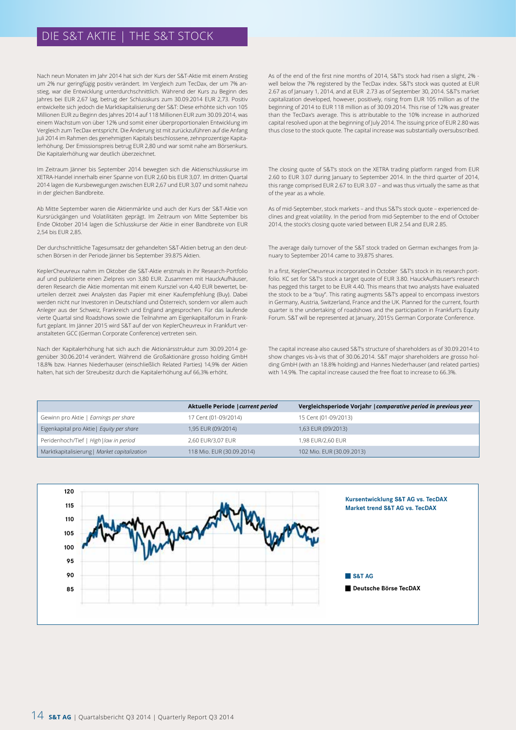### DIE S&T AKTIE | THE S&T STOCK

Nach neun Monaten im Jahr 2014 hat sich der Kurs der S&T-Aktie mit einem Anstieg um 2% nur geringfügig positiv verändert. Im Vergleich zum TecDax, der um 7% anstieg, war die Entwicklung unterdurchschnittlich. Während der Kurs zu Beginn des Jahres bei EUR 2,67 lag, betrug der Schlusskurs zum 30.09.2014 EUR 2,73. Positiv entwickelte sich jedoch die Marktkapitalisierung der S&T: Diese erhöhte sich von 105 Millionen EUR zu Beginn des Jahres 2014 auf 118 Millionen EUR zum 30.09.2014, was einem Wachstum von über 12% und somit einer überproportionalen Entwicklung im Vergleich zum TecDax entspricht. Die Änderung ist mit zurückzuführen auf die Anfang Juli 2014 im Rahmen des genehmigten Kapitals beschlossene, zehnprozentige Kapitalerhöhung. Der Emissionspreis betrug EUR 2,80 und war somit nahe am Börsenkurs. Die Kapitalerhöhung war deutlich überzeichnet.

Im Zeitraum Jänner bis September 2014 bewegten sich die Aktienschlusskurse im XETRA-Handel innerhalb einer Spanne von EUR 2,60 bis EUR 3,07. Im dritten Quartal 2014 lagen die Kursbewegungen zwischen EUR 2,67 und EUR 3,07 und somit nahezu in der gleichen Bandbreite.

Ab Mitte September waren die Aktienmärkte und auch der Kurs der S&T-Aktie von Kursrückgängen und Volatilitäten geprägt. Im Zeitraum von Mitte September bis Ende Oktober 2014 lagen die Schlusskurse der Aktie in einer Bandbreite von EUR 2,54 bis EUR 2,85.

Der durchschnittliche Tagesumsatz der gehandelten S&T-Aktien betrug an den deutschen Börsen in der Periode Jänner bis September 39.875 Aktien.

KeplerCheuvreux nahm im Oktober die S&T-Aktie erstmals in ihr Research-Portfolio auf und publizierte einen Zielpreis von 3,80 EUR. Zusammen mit HauckAufhäuser, deren Research die Aktie momentan mit einem Kursziel von 4,40 EUR bewertet, beurteilen derzeit zwei Analysten das Papier mit einer Kaufempfehlung (Buy). Dabei werden nicht nur Investoren in Deutschland und Österreich, sondern vor allem auch Anleger aus der Schweiz, Frankreich und England angesprochen. Für das laufende vierte Quartal sind Roadshows sowie die Teilnahme am Eigenkapitalforum in Frankfurt geplant. Im Jänner 2015 wird S&T auf der von KeplerCheuvreux in Frankfurt veranstalteten GCC (German Corporate Conference) vertreten sein.

Nach der Kapitalerhöhung hat sich auch die Aktionärsstruktur zum 30.09.2014 gegenüber 30.06.2014 verändert. Während die Großaktionäre grosso holding GmbH 18,8% bzw. Hannes Niederhauser (einschließlich Related Parties) 14,9% der Aktien halten, hat sich der Streubesitz durch die Kapitalerhöhung auf 66,3% erhöht.

As of the end of the first nine months of 2014, S&T's stock had risen a slight, 2% well below the 7% registered by the TecDax index. S&T's stock was quoted at EUR 2.67 as of January 1, 2014, and at EUR 2.73 as of September 30, 2014. S&T's market capitalization developed, however, positively, rising from EUR 105 million as of the beginning of 2014 to EUR 118 million as of 30.09.2014. This rise of 12% was greater than the TecDax's average. This is attributable to the 10% increase in authorized capital resolved upon at the beginning of July 2014. The issuing price of EUR 2.80 was thus close to the stock quote. The capital increase was substantially oversubscribed.

The closing quote of S&T's stock on the XETRA trading platform ranged from EUR 2.60 to EUR 3.07 during January to September 2014. In the third quarter of 2014, this range comprised EUR 2.67 to EUR 3.07 – and was thus virtually the same as that of the year as a whole.

As of mid-September, stock markets – and thus S&T's stock quote – experienced declines and great volatility. In the period from mid-September to the end of October 2014, the stock's closing quote varied between EUR 2.54 and EUR 2.85.

The average daily turnover of the S&T stock traded on German exchanges from January to September 2014 came to 39,875 shares.

In a first, KeplerCheuvreux incorporated in October S&T's stock in its research portfolio. KC set for S&T's stock a target quote of EUR 3.80. HauckAufhäuser's research has pegged this target to be EUR 4.40. This means that two analysts have evaluated the stock to be a "buy". This rating augments S&T's appeal to encompass investors in Germany, Austria, Switzerland, France and the UK. Planned for the current, fourth quarter is the undertaking of roadshows and the participation in Frankfurt's Equity Forum. S&T will be represented at January, 2015's German Corporate Conference.

The capital increase also caused S&T's structure of shareholders as of 30.09.2014 to show changes vis-à-vis that of 30.06.2014. S&T major shareholders are grosso holding GmbH (with an 18.8% holding) and Hannes Niederhauser (and related parties) with 14.9%. The capital increase caused the free float to increase to 66.3%.

|                                              | Aktuelle Periode   current period | Vergleichsperiode Vorjahr   comparative period in previous year |
|----------------------------------------------|-----------------------------------|-----------------------------------------------------------------|
| Gewinn pro Aktie   Earnings per share        | 17 Cent (01-09/2014)              | 15 Cent (01-09/2013)                                            |
| Eigenkapital pro Aktie   Equity per share    | 1,95 EUR (09/2014)                | 1,63 EUR (09/2013)                                              |
| Peridenhoch/Tief   High   low in period      | 2.60 EUR/3.07 EUR                 | 1.98 EUR/2.60 EUR                                               |
| Marktkapitalisierung   Market capitalization | 118 Mio. EUR (30.09.2014)         | 102 Mio. EUR (30.09.2013)                                       |

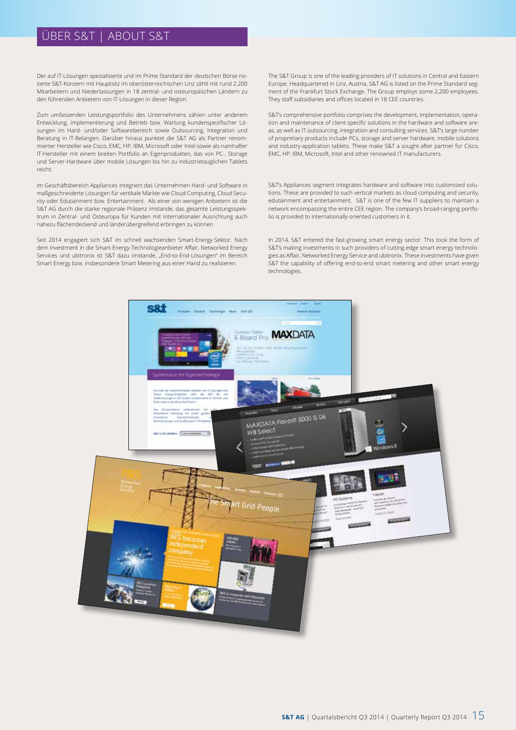### ÜBER S&T | ABOUT S&T

Der auf IT-Lösungen spezialisierte und im Prime Standard der deutschen Börse notierte S&T-Konzern mit Hauptsitz im oberösterreichischen Linz zählt mit rund 2.200 Mitarbeitern und Niederlassungen in 18 zentral- und osteuropäischen Ländern zu den führenden Anbietern von IT-Lösungen in dieser Region.

Zum umfassenden Leistungsportfolio des Unternehmens zählen unter anderem Entwicklung, Implementierung und Betrieb bzw. Wartung kundenspezifischer Lösungen im Hard- und/oder Softwarebereich sowie Outsourcing, Integration und Beratung in IT-Belangen. Darüber hinaus punktet die S&T AG als Partner renommierter Hersteller wie Cisco, EMC, HP, IBM, Microsoft oder Intel sowie als namhafter IT-Hersteller mit einem breiten Portfolio an Eigenprodukten, das von PC-, Storage und Server-Hardware über mobile Lösungen bis hin zu industrietauglichen Tablets reicht.

Im Geschäftsbereich Appliances integriert das Unternehmen Hard- und Software in maßgeschneiderte Lösungen für vertikale Märkte wie Cloud Computing, Cloud Security oder Edutainment bzw. Entertainment. Als einer von wenigen Anbietern ist die S&T AG durch die starke regionale Präsenz imstande, das gesamte Leistungsspektrum in Zentral- und Osteuropa für Kunden mit internationaler Ausrichtung auch nahezu flächendeckend und länderübergreifend erbringen zu können.

Seit 2014 engagiert sich S&T im schnell wachsenden Smart-Energy-Sektor. Nach dem Investment in die Smart-Energy-Technologieanbieter Affair, Networked Energy Services und ubitronix ist S&T dazu imstande, "End-to-End-Lösungen" im Bereich Smart Energy bzw. insbesondere Smart Metering aus einer Hand zu realisieren.

The S&T Group is one of the leading providers of IT solutions in Central and Eastern Europe. Headquartered in Linz, Austria, S&T AG is listed on the Prime Standard segment of the Frankfurt Stock Exchange. The Group employs some 2,200 employees. They staff subsidiaries and offices located in 18 CEE countries.

S&T's comprehensive portfolio comprises the development, implementation, operation and maintenance of client-specific solutions in the hardware and software areas; as well as IT outsourcing, integration and consulting services. S&T's large number of propretiary products include PCs, storage and server hardware, mobile solutions and industry-application tablets. These make S&T a sought-after partner for Cisco, EMC, HP, IBM, Microsoft, Intel and other renowned IT manufacturers.

S&T's Appliances segment integrates hardware and software into customized solutions. These are provided to such vertical markets as cloud computing and security, edutainment and entertainment. S&T is one of the few IT suppliers to maintain a network encompassing the entire CEE region. The company's broad-ranging portfolio is provided to internationally-oriented customers in it.

In 2014, S&T entered the fast-growing smart energy sector. This took the form of S&T's making investments in such providers of cutting edge smart energy technologies as Affair, Networked Energy Service and ubitronix. These investments have given S&T the capability of offering end-to-end smart metering and other smart energy technologies.